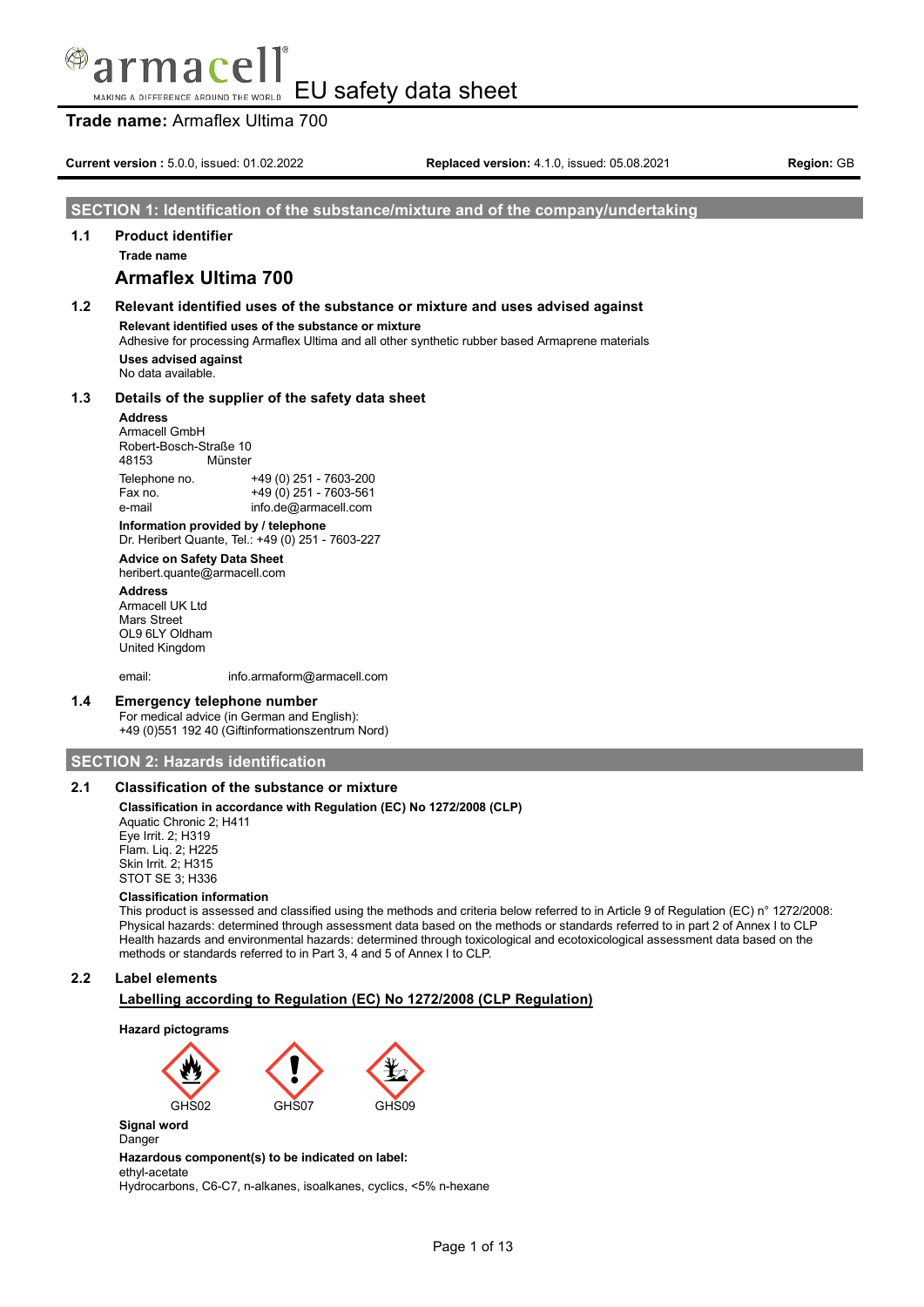**Trade name:** Armaflex Ultima 700

**Current version :** 5.0.0, issued: 01.02.2022 **Replaced version:** 4.1.0, issued: 05.08.2021 **Region:** GB

### **SECTION 1: Identification of the substance/mixture and of the company/undertaking**

# **1.1 Product identifier**

**Trade name**

# **Armaflex Ultima 700**

# **1.2 Relevant identified uses of the substance or mixture and uses advised against Relevant identified uses of the substance or mixture** Adhesive for processing Armaflex Ultima and all other synthetic rubber based Armaprene materials

**Uses advised against** No data available.

### **1.3 Details of the supplier of the safety data sheet**

### **Address**

Armacell GmbH Robert-Bosch-Straße 10 48153 Münster Telephone no. +49 (0) 251 - 7603-200  $+49(0)$  251 - 7603-561 e-mail info.de@armacell.com

**Information provided by / telephone** Dr. Heribert Quante, Tel.: +49 (0) 251 - 7603-227

# **Advice on Safety Data Sheet**

heribert.quante@armacell.com

**Address** Armacell UK Ltd Mars Street OL9 6LY Oldham United Kingdom

email: info.armaform@armacell.com

### **1.4 Emergency telephone number**

For medical advice (in German and English): +49 (0)551 192 40 (Giftinformationszentrum Nord)

### **SECTION 2: Hazards identification**

# **2.1 Classification of the substance or mixture**

### **Classification in accordance with Regulation (EC) No 1272/2008 (CLP)**

Aquatic Chronic 2; H411 Eye Irrit. 2; H319 Flam. Liq. 2; H225 Skin Irrit. 2; H315 STOT SE 3; H336

### **Classification information**

This product is assessed and classified using the methods and criteria below referred to in Article 9 of Regulation (EC) n° 1272/2008: Physical hazards: determined through assessment data based on the methods or standards referred to in part 2 of Annex I to CLP Health hazards and environmental hazards: determined through toxicological and ecotoxicological assessment data based on the methods or standards referred to in Part 3, 4 and 5 of Annex I to CLP.

### **2.2 Label elements**

### **Labelling according to Regulation (EC) No 1272/2008 (CLP Regulation)**





### **Hazardous component(s) to be indicated on label:**

ethyl-acetate

Hydrocarbons, C6-C7, n-alkanes, isoalkanes, cyclics, <5% n-hexane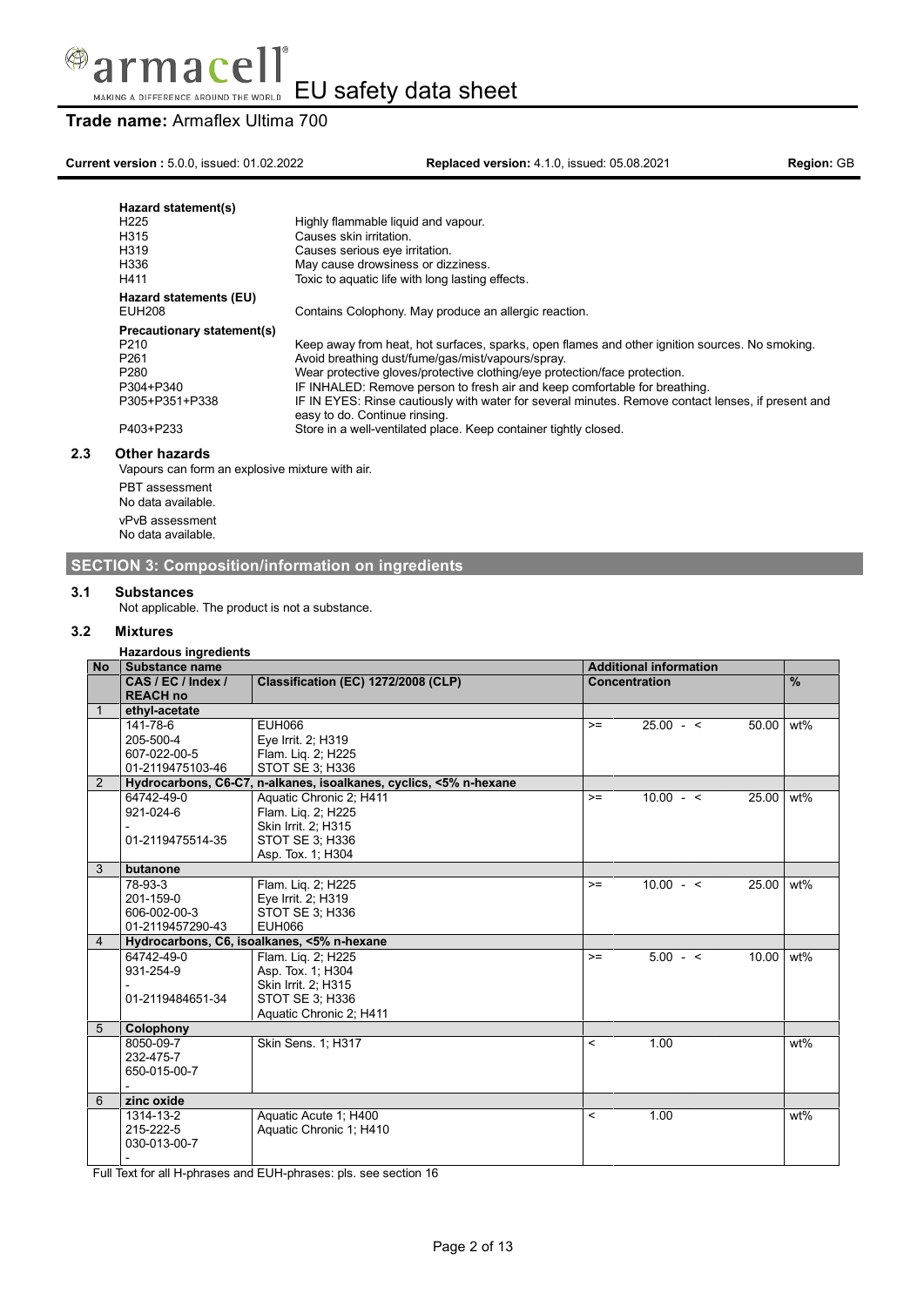

# **Trade name:** Armaflex Ultima 700

**Current version :** 5.0.0, issued: 01.02.2022 **Replaced version:** 4.1.0, issued: 05.08.2021 **Region:** GB

| Hazard statement(s)<br>H <sub>225</sub><br>H315<br>H319<br>H336<br>H411 | Highly flammable liquid and vapour.<br>Causes skin irritation.<br>Causes serious eye irritation.<br>May cause drowsiness or dizziness.<br>Toxic to aquatic life with long lasting effects. |
|-------------------------------------------------------------------------|--------------------------------------------------------------------------------------------------------------------------------------------------------------------------------------------|
| Hazard statements (EU)<br>EUH208                                        |                                                                                                                                                                                            |
|                                                                         | Contains Colophony. May produce an allergic reaction.                                                                                                                                      |
| <b>Precautionary statement(s)</b>                                       |                                                                                                                                                                                            |
| P <sub>210</sub>                                                        | Keep away from heat, hot surfaces, sparks, open flames and other ignition sources. No smoking.                                                                                             |
| P <sub>261</sub>                                                        | Avoid breathing dust/fume/gas/mist/vapours/spray.                                                                                                                                          |
| P <sub>280</sub>                                                        | Wear protective gloves/protective clothing/eye protection/face protection.                                                                                                                 |
| P304+P340                                                               | IF INHALED: Remove person to fresh air and keep comfortable for breathing.                                                                                                                 |
| P305+P351+P338                                                          | IF IN EYES: Rinse cautiously with water for several minutes. Remove contact lenses, if present and<br>easy to do. Continue rinsing.                                                        |
| P403+P233                                                               | Store in a well-ventilated place. Keep container tightly closed.                                                                                                                           |
| <b>Other hazards</b>                                                    |                                                                                                                                                                                            |

Vapours can form an explosive mixture with air.

PBT assessment No data available. vPvB assessment No data available.

# **SECTION 3: Composition/information on ingredients**

### **3.1 Substances**

Not applicable. The product is not a substance.

### **3.2 Mixtures**

**2.3 Other hazards**

| $\frac{9}{6}$<br>wt%<br>50.00<br>25.00<br>$wt\%$ |
|--------------------------------------------------|
|                                                  |
|                                                  |
|                                                  |
|                                                  |
|                                                  |
|                                                  |
|                                                  |
|                                                  |
|                                                  |
|                                                  |
|                                                  |
|                                                  |
|                                                  |
|                                                  |
| 25.00 wt%                                        |
|                                                  |
|                                                  |
|                                                  |
|                                                  |
| 10.00<br>wt%                                     |
|                                                  |
|                                                  |
|                                                  |
|                                                  |
|                                                  |
| wt%                                              |
|                                                  |
|                                                  |
|                                                  |
|                                                  |
| wt%                                              |
|                                                  |
|                                                  |
|                                                  |
|                                                  |

Full Text for all H-phrases and EUH-phrases: pls. see section 16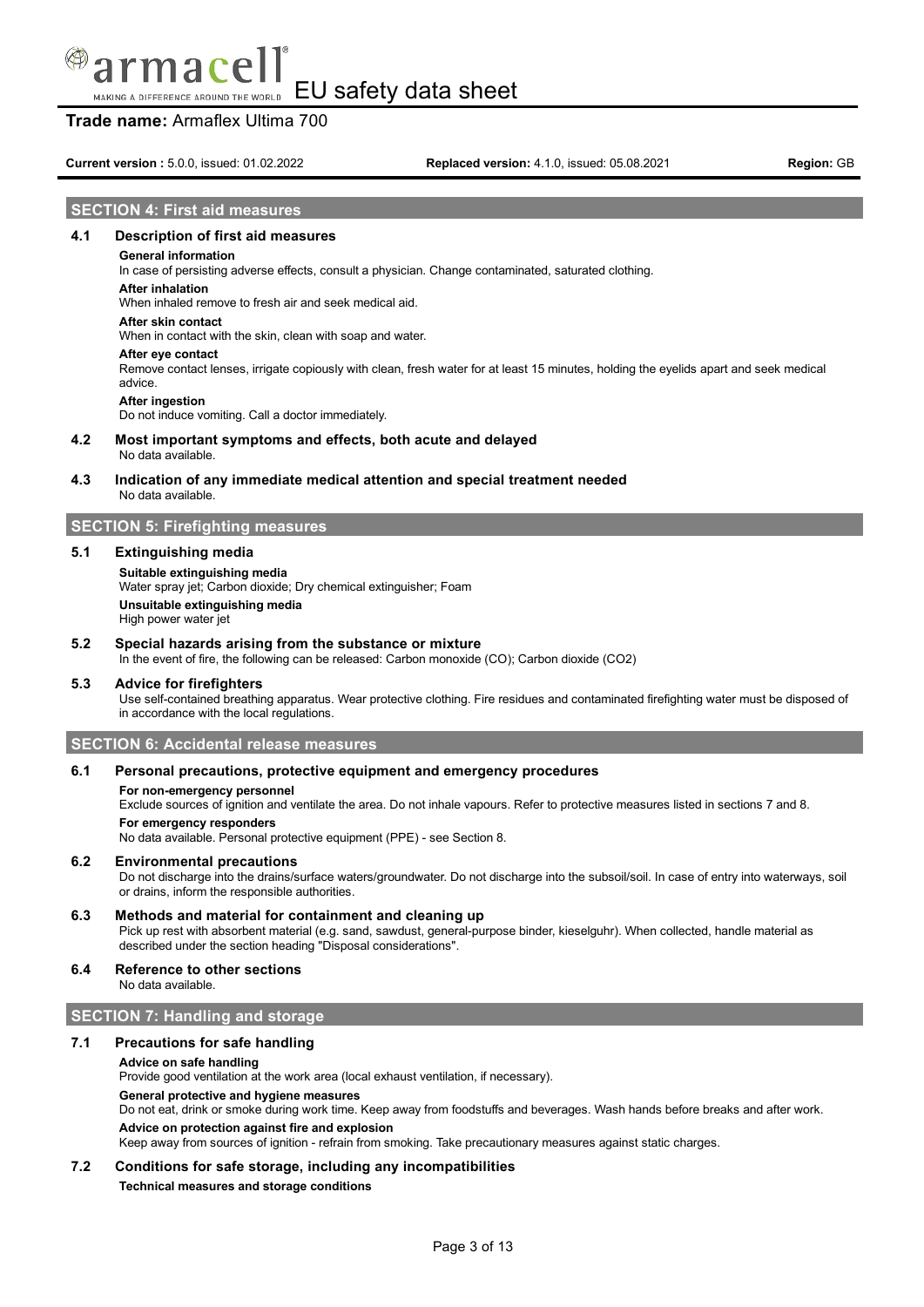# **Trade name:** Armaflex Ultima 700

**Current version :** 5.0.0, issued: 01.02.2022 **Replaced version:** 4.1.0, issued: 05.08.2021 **Region:** GB

### **SECTION 4: First aid measures**

### **4.1 Description of first aid measures**

#### **General information**

In case of persisting adverse effects, consult a physician. Change contaminated, saturated clothing.

#### **After inhalation**

When inhaled remove to fresh air and seek medical aid.

# **After skin contact**

When in contact with the skin, clean with soap and water.

#### **After eye contact**

Remove contact lenses, irrigate copiously with clean, fresh water for at least 15 minutes, holding the eyelids apart and seek medical advice.

#### **After ingestion**

Do not induce vomiting. Call a doctor immediately.

#### **4.2 Most important symptoms and effects, both acute and delayed** No data available.

### **4.3 Indication of any immediate medical attention and special treatment needed** No data available.

### **SECTION 5: Firefighting measures**

### **5.1 Extinguishing media**

# **Suitable extinguishing media**

Water spray jet; Carbon dioxide; Dry chemical extinguisher; Foam **Unsuitable extinguishing media** High power water jet

### **5.2 Special hazards arising from the substance or mixture**

In the event of fire, the following can be released: Carbon monoxide (CO); Carbon dioxide (CO2)

#### **5.3 Advice for firefighters**

Use self-contained breathing apparatus. Wear protective clothing. Fire residues and contaminated firefighting water must be disposed of in accordance with the local regulations.

### **SECTION 6: Accidental release measures**

### **6.1 Personal precautions, protective equipment and emergency procedures**

#### **For non-emergency personnel**

Exclude sources of ignition and ventilate the area. Do not inhale vapours. Refer to protective measures listed in sections 7 and 8. **For emergency responders**

No data available. Personal protective equipment (PPE) - see Section 8.

### **6.2 Environmental precautions**

Do not discharge into the drains/surface waters/groundwater. Do not discharge into the subsoil/soil. In case of entry into waterways, soil or drains, inform the responsible authorities.

### **6.3 Methods and material for containment and cleaning up**

Pick up rest with absorbent material (e.g. sand, sawdust, general-purpose binder, kieselguhr). When collected, handle material as described under the section heading "Disposal considerations".

# **6.4 Reference to other sections**

No data available.

### **SECTION 7: Handling and storage**

### **7.1 Precautions for safe handling**

#### **Advice on safe handling**

Provide good ventilation at the work area (local exhaust ventilation, if necessary).

### **General protective and hygiene measures**

Do not eat, drink or smoke during work time. Keep away from foodstuffs and beverages. Wash hands before breaks and after work.

**Advice on protection against fire and explosion**

Keep away from sources of ignition - refrain from smoking. Take precautionary measures against static charges.

### **7.2 Conditions for safe storage, including any incompatibilities**

**Technical measures and storage conditions**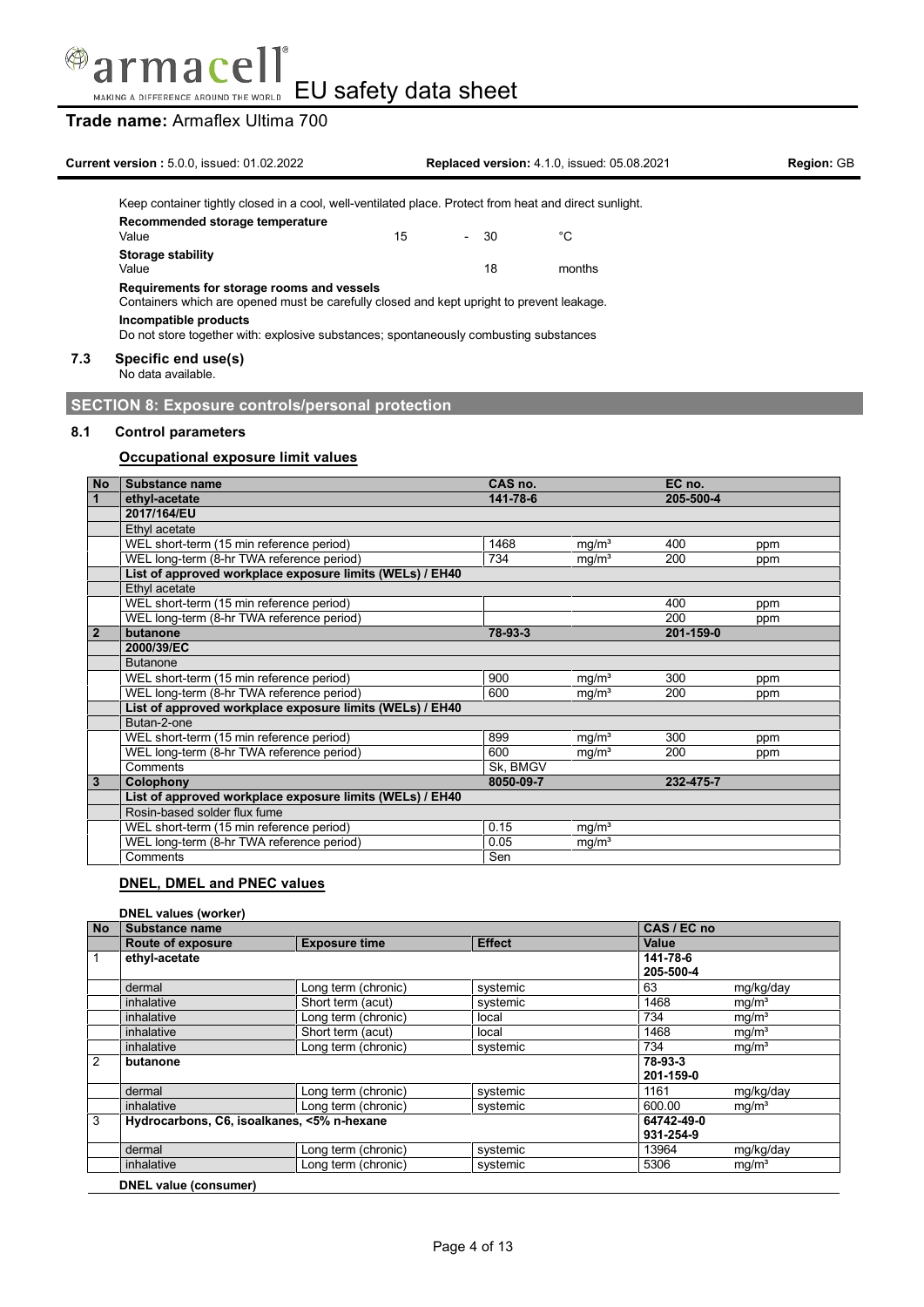

# **Trade name:** Armaflex Ultima 700

|     | <b>Current version: 5.0.0. issued: 01.02.2022</b>                                                                                       |    |              | <b>Replaced version: 4.1.0. issued: 05.08.2021</b> | <b>Region: GB</b> |
|-----|-----------------------------------------------------------------------------------------------------------------------------------------|----|--------------|----------------------------------------------------|-------------------|
|     | Keep container tightly closed in a cool, well-ventilated place. Protect from heat and direct sunlight.                                  |    |              |                                                    |                   |
|     | Recommended storage temperature<br>Value                                                                                                | 15 | 30<br>$\sim$ | °C                                                 |                   |
|     | Storage stability<br>Value                                                                                                              |    | 18           | months                                             |                   |
|     | Requirements for storage rooms and vessels<br>Containers which are opened must be carefully closed and kept upright to prevent leakage. |    |              |                                                    |                   |
|     | Incompatible products<br>Do not store together with: explosive substances; spontaneously combusting substances                          |    |              |                                                    |                   |
| 7.3 | Specific end use(s)<br>Alle allege acceptable to                                                                                        |    |              |                                                    |                   |

No data available.

**SECTION 8: Exposure controls/personal protection**

# **8.1 Control parameters**

# **Occupational exposure limit values**

| <b>No</b>      | Substance name                                           | CAS no.   |                   | EC no.    |     |
|----------------|----------------------------------------------------------|-----------|-------------------|-----------|-----|
| $\overline{1}$ | ethyl-acetate                                            | 141-78-6  |                   | 205-500-4 |     |
|                | 2017/164/EU                                              |           |                   |           |     |
|                | Ethyl acetate                                            |           |                   |           |     |
|                | WEL short-term (15 min reference period)                 | 1468      | mg/m <sup>3</sup> | 400       | ppm |
|                | WEL long-term (8-hr TWA reference period)                | 734       | mg/m <sup>3</sup> | 200       | ppm |
|                | List of approved workplace exposure limits (WELs) / EH40 |           |                   |           |     |
|                | Ethyl acetate                                            |           |                   |           |     |
|                | WEL short-term (15 min reference period)                 |           |                   | 400       | ppm |
|                | WEL long-term (8-hr TWA reference period)                |           |                   | 200       | ppm |
| $\overline{2}$ | butanone                                                 | 78-93-3   |                   | 201-159-0 |     |
|                | 2000/39/EC                                               |           |                   |           |     |
|                | <b>Butanone</b>                                          |           |                   |           |     |
|                | WEL short-term (15 min reference period)                 | 900       | mg/m <sup>3</sup> | 300       | ppm |
|                | WEL long-term (8-hr TWA reference period)                | 600       | mq/m <sup>3</sup> | 200       | ppm |
|                | List of approved workplace exposure limits (WELs) / EH40 |           |                   |           |     |
|                | Butan-2-one                                              |           |                   |           |     |
|                | WEL short-term (15 min reference period)                 | 899       | mg/m <sup>3</sup> | 300       | ppm |
|                | WEL long-term (8-hr TWA reference period)                | 600       | mg/m <sup>3</sup> | 200       | ppm |
|                | Comments                                                 | Sk, BMGV  |                   |           |     |
| $\overline{3}$ | Colophony                                                | 8050-09-7 |                   | 232-475-7 |     |
|                | List of approved workplace exposure limits (WELs) / EH40 |           |                   |           |     |
|                | Rosin-based solder flux fume                             |           |                   |           |     |
|                | WEL short-term (15 min reference period)                 | 0.15      | mg/m <sup>3</sup> |           |     |
|                | WEL long-term (8-hr TWA reference period)                | 0.05      | mg/m <sup>3</sup> |           |     |
|                | Comments                                                 | Sen       |                   |           |     |

# **DNEL, DMEL and PNEC values**

### **DNEL values (worker)**

| <b>No</b> | Substance name                             | CAS / EC no          |               |            |                   |
|-----------|--------------------------------------------|----------------------|---------------|------------|-------------------|
|           | <b>Route of exposure</b>                   | <b>Exposure time</b> | <b>Effect</b> | Value      |                   |
|           | ethyl-acetate                              |                      |               | 141-78-6   |                   |
|           |                                            |                      |               | 205-500-4  |                   |
|           | dermal                                     | Long term (chronic)  | systemic      | 63         | mg/kg/day         |
|           | inhalative                                 | Short term (acut)    | systemic      | 1468       | mg/m <sup>3</sup> |
|           | inhalative                                 | Long term (chronic)  | local         | 734        | mg/m <sup>3</sup> |
|           | inhalative                                 | Short term (acut)    | local         | 1468       | mg/m <sup>3</sup> |
|           | inhalative                                 | Long term (chronic)  | systemic      | 734        | mg/m <sup>3</sup> |
| 2         | butanone                                   |                      |               | 78-93-3    |                   |
|           |                                            |                      |               | 201-159-0  |                   |
|           | dermal                                     | Long term (chronic)  | systemic      | 1161       | mg/kg/day         |
|           | inhalative                                 | Long term (chronic)  | systemic      | 600.00     | mg/m <sup>3</sup> |
| 3         | Hydrocarbons, C6, isoalkanes, <5% n-hexane |                      |               | 64742-49-0 |                   |
|           |                                            |                      |               | 931-254-9  |                   |
|           | dermal                                     | Long term (chronic)  | systemic      | 13964      | mg/kg/day         |
|           | inhalative                                 | Long term (chronic)  | systemic      | 5306       | mg/m <sup>3</sup> |
|           | DNEL value (consumer)                      |                      |               |            |                   |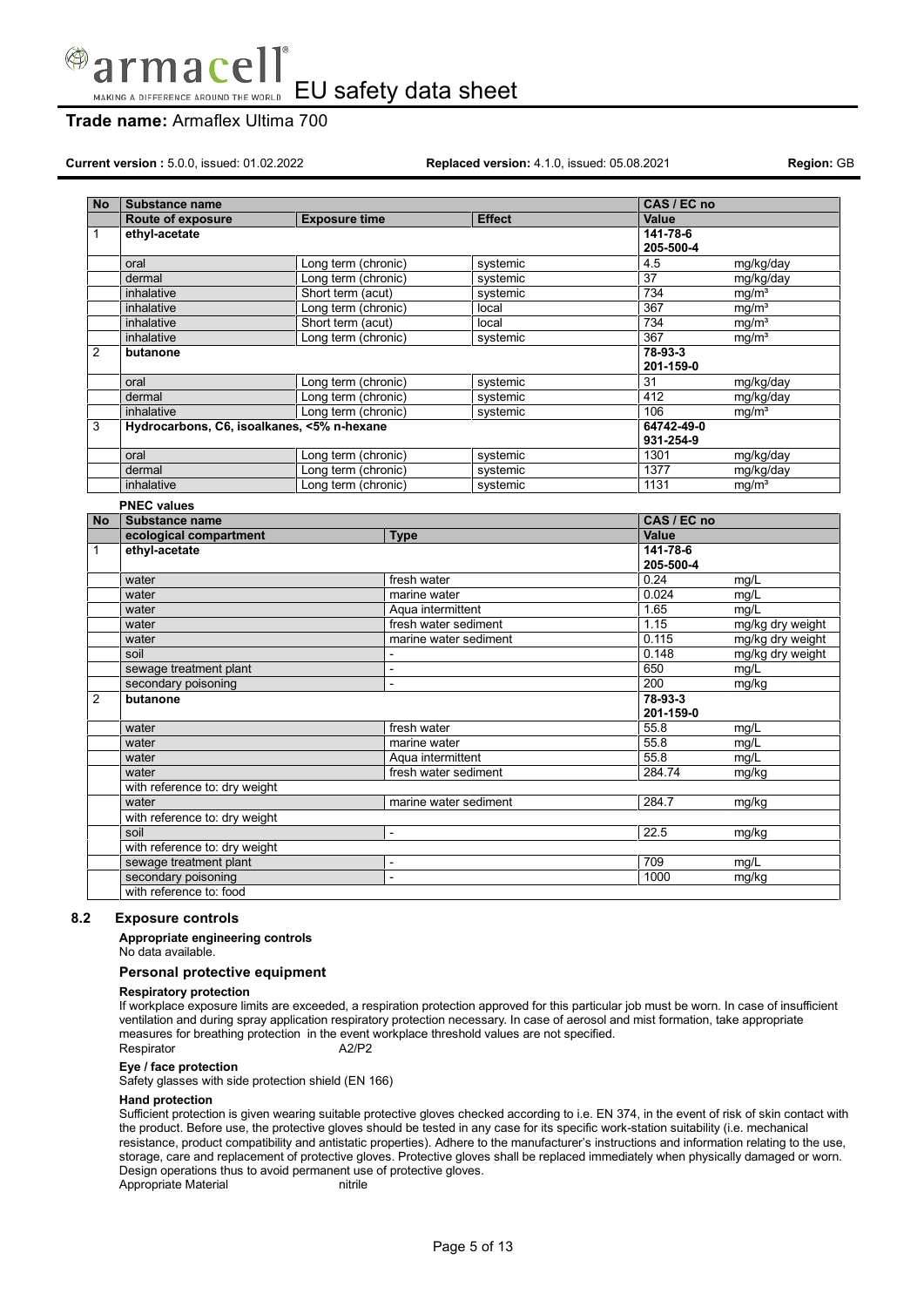

# **Trade name:** Armaflex Ultima 700

**Current version :** 5.0.0, issued: 01.02.2022 **Replaced version:** 4.1.0, issued: 05.08.2021 **Region:** GB

| <b>No</b>      | <b>Substance name</b>                      |                      |                              |                       | CAS / EC no             |                   |
|----------------|--------------------------------------------|----------------------|------------------------------|-----------------------|-------------------------|-------------------|
|                | Route of exposure                          | <b>Exposure time</b> |                              | <b>Effect</b>         | Value                   |                   |
| $\mathbf{1}$   | ethyl-acetate                              |                      |                              |                       | 141-78-6<br>205-500-4   |                   |
|                | oral                                       | Long term (chronic)  |                              | systemic              | 4.5                     | mg/kg/day         |
|                | dermal                                     | Long term (chronic)  |                              | systemic              | 37                      | mg/kg/day         |
|                | inhalative                                 | Short term (acut)    |                              | systemic              | 734                     | mg/m <sup>3</sup> |
|                | inhalative                                 | Long term (chronic)  |                              | local                 | $\overline{367}$        | mq/m <sup>3</sup> |
|                | inhalative                                 | Short term (acut)    |                              | local                 | 734                     | mg/m <sup>3</sup> |
|                | inhalative                                 | Long term (chronic)  |                              | systemic              | $\overline{367}$        | mg/m <sup>3</sup> |
| $\overline{2}$ | butanone                                   |                      |                              |                       | 78-93-3<br>201-159-0    |                   |
|                | oral                                       | Long term (chronic)  |                              | systemic              | 31                      | mg/kg/day         |
|                | dermal                                     | Long term (chronic)  |                              | systemic              | 412                     | mg/kg/day         |
|                | inhalative                                 | Long term (chronic)  |                              | systemic              | 106                     | mq/m <sup>3</sup> |
| 3              | Hydrocarbons, C6, isoalkanes, <5% n-hexane |                      |                              |                       | 64742-49-0<br>931-254-9 |                   |
|                | oral                                       | Long term (chronic)  |                              | systemic              | 1301                    | mg/kg/day         |
|                | dermal                                     | Long term (chronic)  |                              | systemic              | 1377                    | mg/kg/day         |
|                | inhalative                                 | Long term (chronic)  |                              | systemic              | 1131                    | ma/m <sup>3</sup> |
|                | <b>PNEC values</b>                         |                      |                              |                       |                         |                   |
| <b>No</b>      | Substance name                             |                      |                              |                       | CAS / EC no             |                   |
|                | ecological compartment<br><b>Type</b>      |                      |                              |                       | Value                   |                   |
| $\mathbf{1}$   | ethyl-acetate                              |                      |                              |                       | 141-78-6<br>205-500-4   |                   |
|                | water                                      |                      | fresh water                  |                       | 0.24                    | mg/L              |
|                | water                                      |                      | marine water                 |                       | 0.024                   | mq/L              |
|                | water                                      |                      | Aqua intermittent            |                       | 1.65                    | mq/L              |
|                | water                                      |                      | fresh water sediment         |                       | 1.15                    | mg/kg dry weight  |
|                | water                                      |                      |                              | marine water sediment | 0.115                   | mg/kg dry weight  |
|                | soil                                       |                      | $\overline{\phantom{a}}$     |                       | 0.148                   | mg/kg dry weight  |
|                | sewage treatment plant                     |                      | $\overline{\phantom{a}}$     |                       | 650                     | mg/L              |
|                | secondary poisoning                        | $\overline{a}$       |                              |                       | 200                     | mg/kg             |
| $\overline{2}$ | butanone                                   |                      |                              |                       | 78-93-3<br>201-159-0    |                   |
|                | water                                      |                      | fresh water                  |                       | 55.8                    | mg/L              |
|                | water                                      |                      | marine water                 |                       | 55.8                    | mq/L              |
|                | water                                      |                      | Aqua intermittent            |                       | 55.8                    | mg/L              |
|                | water                                      |                      |                              | fresh water sediment  | 284.74                  | mg/kg             |
|                | with reference to: dry weight              |                      |                              |                       |                         |                   |
|                | water                                      |                      |                              | marine water sediment | 284.7                   | mg/kg             |
|                | with reference to: dry weight              |                      |                              |                       |                         |                   |
|                | soil                                       | L,                   |                              |                       | 22.5                    | mg/kg             |
|                | with reference to: dry weight              |                      |                              |                       |                         |                   |
|                | sewage treatment plant                     |                      | $\qquad \qquad \blacksquare$ |                       | 709                     | mg/L              |
|                | secondary poisoning                        |                      | $\overline{a}$               |                       | 1000                    | mg/kg             |
|                | with reference to: food                    |                      |                              |                       |                         |                   |

### **8.2 Exposure controls**

**Appropriate engineering controls**

No data available.

### **Personal protective equipment**

### **Respiratory protection**

If workplace exposure limits are exceeded, a respiration protection approved for this particular job must be worn. In case of insufficient ventilation and during spray application respiratory protection necessary. In case of aerosol and mist formation, take appropriate measures for breathing protection in the event workplace threshold values are not specified. Respirator A2/P2

### **Eye / face protection**

Safety glasses with side protection shield (EN 166)

### **Hand protection**

Sufficient protection is given wearing suitable protective gloves checked according to i.e. EN 374, in the event of risk of skin contact with the product. Before use, the protective gloves should be tested in any case for its specific work-station suitability (i.e. mechanical resistance, product compatibility and antistatic properties). Adhere to the manufacturer's instructions and information relating to the use, storage, care and replacement of protective gloves. Protective gloves shall be replaced immediately when physically damaged or worn. Design operations thus to avoid permanent use of protective gloves.<br>Appropriate Material nitrile in itrile Appropriate Material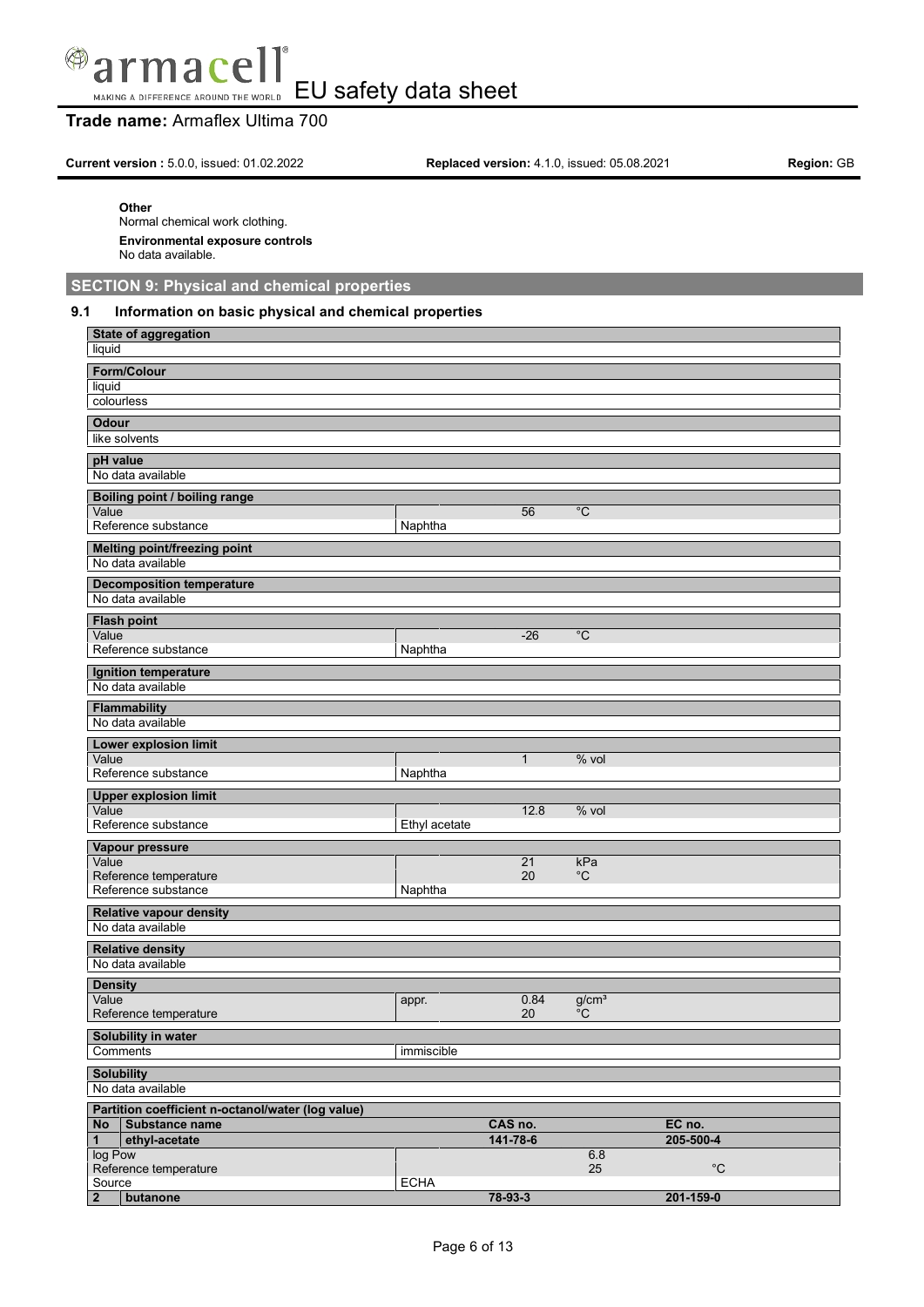

# **Trade name:** Armaflex Ultima 700

**Current version :** 5.0.0, issued: 01.02.2022 **Replaced version:** 4.1.0, issued: 05.08.2021 **Region:** GB

### **Other**

Normal chemical work clothing. **Environmental exposure controls** No data available.

**SECTION 9: Physical and chemical properties**

### **9.1 Information on basic physical and chemical properties**

| <b>State of aggregation</b>                       |               |              |                   |             |
|---------------------------------------------------|---------------|--------------|-------------------|-------------|
| liquid                                            |               |              |                   |             |
| Form/Colour                                       |               |              |                   |             |
| liquid                                            |               |              |                   |             |
| colourless                                        |               |              |                   |             |
| <b>Odour</b>                                      |               |              |                   |             |
| like solvents                                     |               |              |                   |             |
| pH value                                          |               |              |                   |             |
| No data available                                 |               |              |                   |             |
|                                                   |               |              |                   |             |
| Boiling point / boiling range<br>Value            |               | 56           | $\overline{C}$    |             |
| Reference substance                               | Naphtha       |              |                   |             |
|                                                   |               |              |                   |             |
| <b>Melting point/freezing point</b>               |               |              |                   |             |
| No data available                                 |               |              |                   |             |
| <b>Decomposition temperature</b>                  |               |              |                   |             |
| No data available                                 |               |              |                   |             |
| <b>Flash point</b>                                |               |              |                   |             |
| Value                                             |               | $-26$        | $^{\circ}C$       |             |
| Reference substance                               | Naphtha       |              |                   |             |
| Ignition temperature                              |               |              |                   |             |
| No data available                                 |               |              |                   |             |
| <b>Flammability</b>                               |               |              |                   |             |
| No data available                                 |               |              |                   |             |
| Lower explosion limit                             |               |              |                   |             |
| Value                                             |               | $\mathbf{1}$ | % vol             |             |
| Reference substance                               | Naphtha       |              |                   |             |
| <b>Upper explosion limit</b>                      |               |              |                   |             |
| Value                                             |               | 12.8         | % vol             |             |
| Reference substance                               | Ethyl acetate |              |                   |             |
| Vapour pressure                                   |               |              |                   |             |
| Value                                             |               | 21           | kPa               |             |
| Reference temperature                             |               | 20           | $^{\circ}$ C      |             |
| Reference substance                               | Naphtha       |              |                   |             |
| <b>Relative vapour density</b>                    |               |              |                   |             |
| No data available                                 |               |              |                   |             |
| <b>Relative density</b>                           |               |              |                   |             |
| No data available                                 |               |              |                   |             |
| <b>Density</b>                                    |               |              |                   |             |
| Value                                             | appr.         | 0.84         | g/cm <sup>3</sup> |             |
| Reference temperature                             |               | 20           | $^{\circ}$ C      |             |
| Solubility in water                               |               |              |                   |             |
| <b>Comments</b>                                   | immiscible    |              |                   |             |
|                                                   |               |              |                   |             |
| <b>Solubility</b>                                 |               |              |                   |             |
| No data available                                 |               |              |                   |             |
| Partition coefficient n-octanol/water (log value) |               |              |                   |             |
| Substance name<br>No                              |               | CAS no.      |                   | EC no.      |
| $\mathbf{1}$<br>ethyl-acetate<br>log Pow          |               | 141-78-6     | 6.8               | 205-500-4   |
| Reference temperature                             |               |              | 25                | $^{\circ}C$ |
| Source                                            | <b>ECHA</b>   |              |                   |             |
| butanone<br>$\mathbf{2}$                          |               | 78-93-3      |                   | 201-159-0   |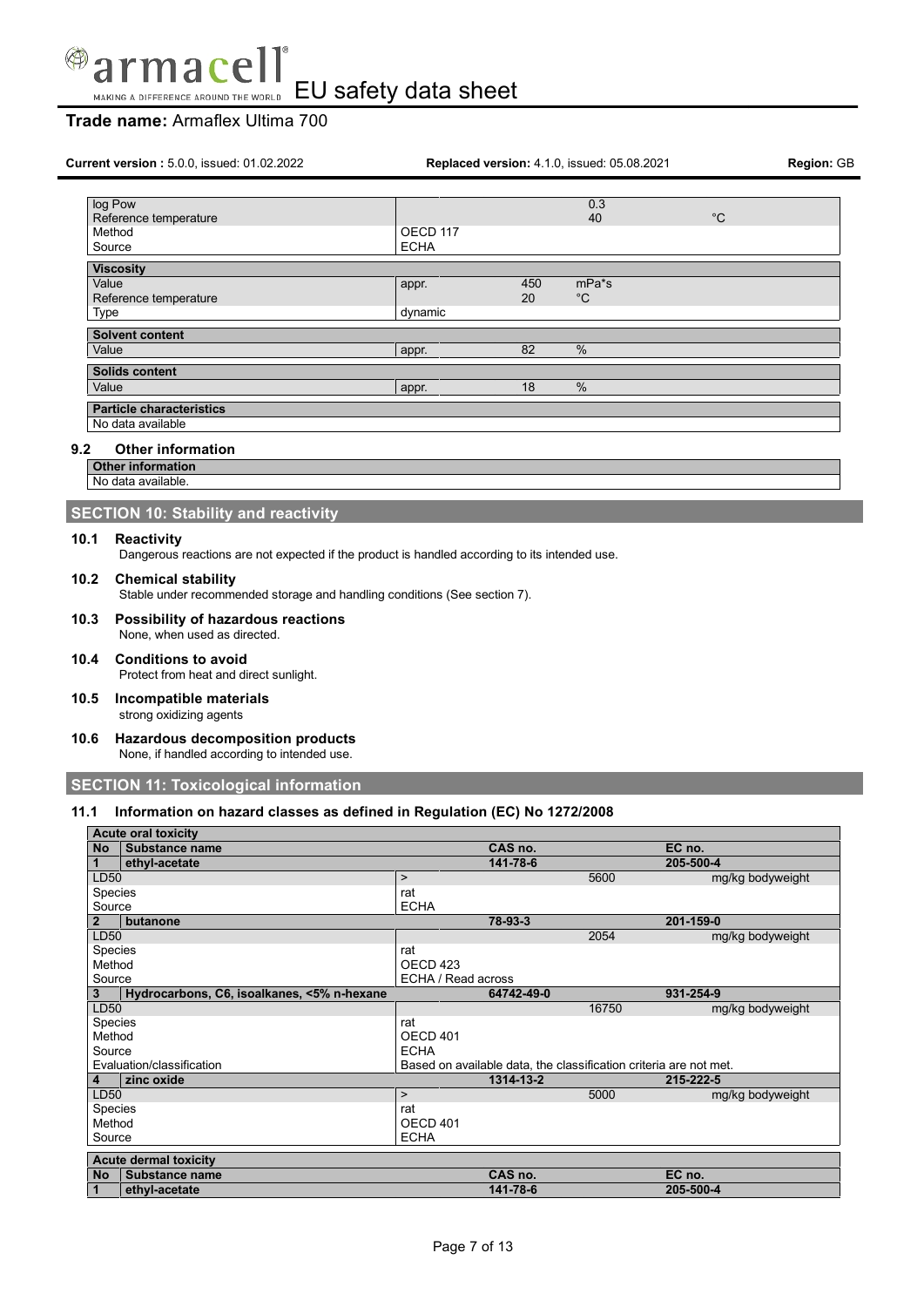

# **Trade name:** Armaflex Ultima 700

| Current version: 5.0.0, issued: 01.02.2022 | Replaced version: 4.1.0, issued: 05.08.2021 | <b>Region: GB</b> |                         |             |  |
|--------------------------------------------|---------------------------------------------|-------------------|-------------------------|-------------|--|
| log Pow<br>Reference temperature           |                                             |                   | 0.3<br>40               | $^{\circ}C$ |  |
| Method<br>Source                           | OECD <sub>117</sub><br><b>ECHA</b>          |                   |                         |             |  |
| <b>Viscosity</b>                           |                                             |                   |                         |             |  |
| Value<br>Reference temperature             | appr.                                       | 450<br>20         | $mPa*$ s<br>$^{\circ}C$ |             |  |
| Type                                       | dynamic                                     |                   |                         |             |  |
| <b>Solvent content</b>                     |                                             |                   |                         |             |  |
| Value                                      | appr.                                       | 82                | %                       |             |  |
| <b>Solids content</b>                      |                                             |                   |                         |             |  |
| Value                                      | appr.                                       | 18                | %                       |             |  |
| <b>Particle characteristics</b>            |                                             |                   |                         |             |  |
| No data available                          |                                             |                   |                         |             |  |
| <b>Other information</b><br>9.2            |                                             |                   |                         |             |  |
| <b>Other information</b>                   |                                             |                   |                         |             |  |
| No data available.                         |                                             |                   |                         |             |  |

### **SECTION 10: Stability and reactivity**

### **10.1 Reactivity**

Dangerous reactions are not expected if the product is handled according to its intended use.

### **10.2 Chemical stability**

Stable under recommended storage and handling conditions (See section 7).

**10.3 Possibility of hazardous reactions** None, when used as directed.

# **10.4 Conditions to avoid**

Protect from heat and direct sunlight.

# **10.5 Incompatible materials**

strong oxidizing agents

**10.6 Hazardous decomposition products** None, if handled according to intended use.

**SECTION 11: Toxicological information**

### **11.1 Information on hazard classes as defined in Regulation (EC) No 1272/2008**

|                | <b>Acute oral toxicity</b>                 |                    |                                                                   |                  |
|----------------|--------------------------------------------|--------------------|-------------------------------------------------------------------|------------------|
| <b>No</b>      | Substance name                             |                    | CAS no.                                                           | EC no.           |
|                | ethyl-acetate                              |                    | 141-78-6                                                          | 205-500-4        |
| LD50           |                                            | $\mathbf{r}$       | 5600                                                              | mg/kg bodyweight |
| <b>Species</b> |                                            | rat                |                                                                   |                  |
| Source         |                                            | <b>ECHA</b>        |                                                                   |                  |
| $\overline{2}$ | butanone                                   | 78-93-3            |                                                                   | 201-159-0        |
| LD50           |                                            |                    | 2054                                                              | mg/kg bodyweight |
| Species        |                                            | rat                |                                                                   |                  |
| Method         |                                            | OECD 423           |                                                                   |                  |
| Source         |                                            | ECHA / Read across |                                                                   |                  |
| 3              | Hydrocarbons, C6, isoalkanes, <5% n-hexane |                    | 64742-49-0                                                        | 931-254-9        |
| LD50           |                                            |                    | 16750                                                             | mg/kg bodyweight |
| <b>Species</b> |                                            | rat                |                                                                   |                  |
| Method         |                                            | OECD 401           |                                                                   |                  |
| Source         |                                            | <b>ECHA</b>        |                                                                   |                  |
|                | Evaluation/classification                  |                    | Based on available data, the classification criteria are not met. |                  |
| 4              | zinc oxide                                 |                    | 1314-13-2                                                         | 215-222-5        |
| LD50           |                                            | $\mathbf{r}$       | 5000                                                              | mg/kg bodyweight |
| Species        |                                            | rat                |                                                                   |                  |
| Method         |                                            | OECD 401           |                                                                   |                  |
| Source         |                                            | <b>ECHA</b>        |                                                                   |                  |
|                | <b>Acute dermal toxicity</b>               |                    |                                                                   |                  |
| <b>No</b>      | Substance name                             |                    | CAS no.                                                           | EC no.           |
|                | ethyl-acetate                              |                    | 141-78-6                                                          | 205-500-4        |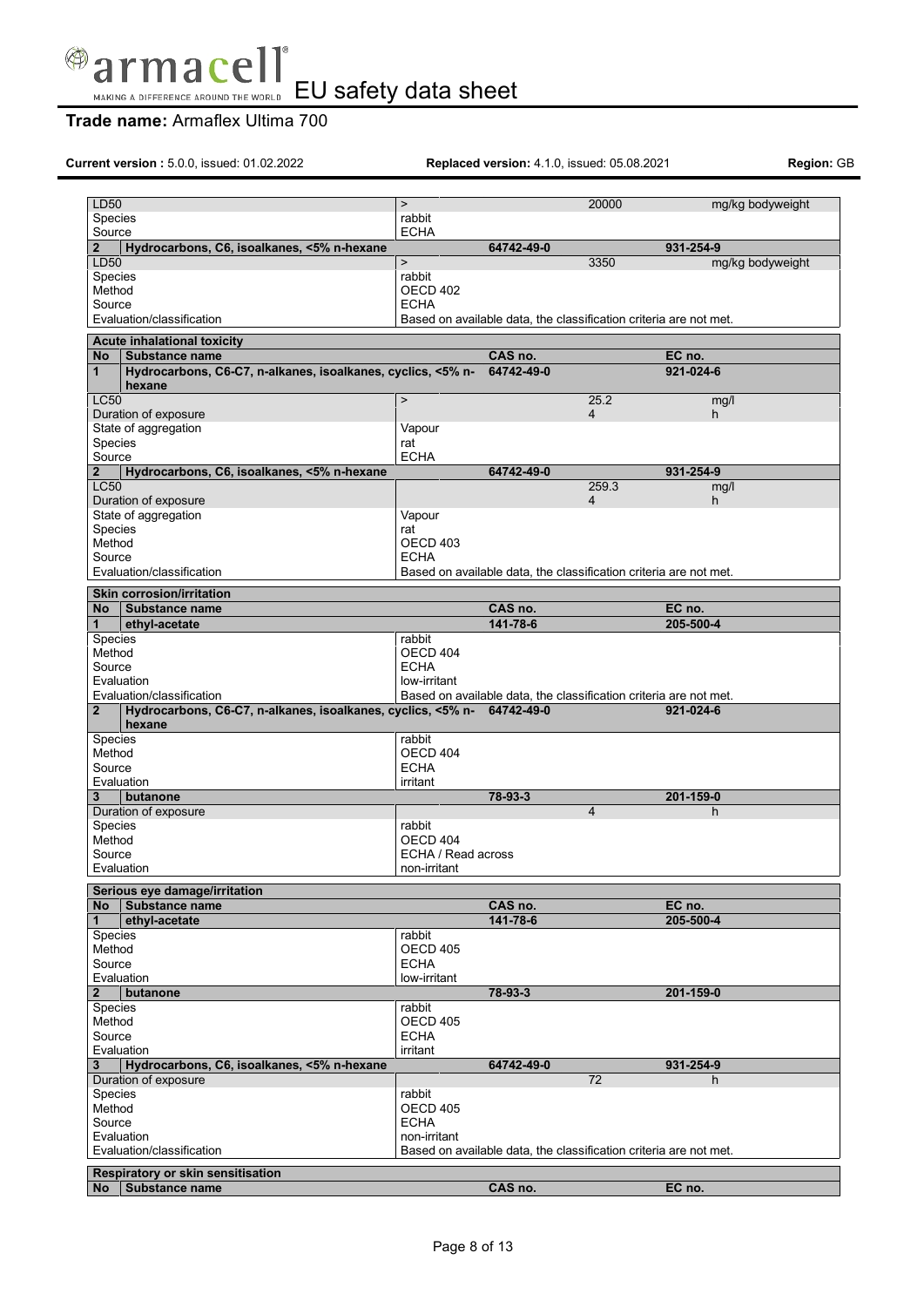

# **Trade name:** Armaflex Ultima 700

**Current version :** 5.0.0, issued: 01.02.2022 **Replaced version:** 4.1.0, issued: 05.08.2021 **Region:** GB

| LD50<br>Species                |                                                                                  | $\mathbf{L}$<br>rabbit      |                                                                   | 20000          | mg/kg bodyweight    |
|--------------------------------|----------------------------------------------------------------------------------|-----------------------------|-------------------------------------------------------------------|----------------|---------------------|
| Source                         |                                                                                  | <b>ECHA</b>                 |                                                                   |                |                     |
| $\overline{2}$                 | Hydrocarbons, C6, isoalkanes, <5% n-hexane                                       |                             | 64742-49-0                                                        |                | 931-254-9           |
| LD50                           |                                                                                  | $\mathbf{L}$                |                                                                   | 3350           | mg/kg bodyweight    |
| Species                        |                                                                                  | rabbit                      |                                                                   |                |                     |
| Method                         |                                                                                  | OECD <sub>402</sub>         |                                                                   |                |                     |
| Source                         | Evaluation/classification                                                        | <b>ECHA</b>                 | Based on available data, the classification criteria are not met. |                |                     |
|                                |                                                                                  |                             |                                                                   |                |                     |
|                                | <b>Acute inhalational toxicity</b>                                               |                             |                                                                   |                |                     |
| No<br>1                        | Substance name<br>Hydrocarbons, C6-C7, n-alkanes, isoalkanes, cyclics, <5% n-    |                             | CAS no.<br>64742-49-0                                             |                | EC no.<br>921-024-6 |
|                                | hexane                                                                           |                             |                                                                   |                |                     |
| <b>LC50</b>                    |                                                                                  | $\geq$                      |                                                                   | 25.2           | mg/l                |
|                                | Duration of exposure                                                             |                             |                                                                   | $\overline{4}$ | h.                  |
|                                | State of aggregation                                                             | Vapour                      |                                                                   |                |                     |
| Species                        |                                                                                  | rat                         |                                                                   |                |                     |
| Source                         |                                                                                  | <b>ECHA</b>                 |                                                                   |                |                     |
| $\overline{2}$<br><b>LC50</b>  | Hydrocarbons, C6, isoalkanes, <5% n-hexane                                       |                             | 64742-49-0                                                        | 259.3          | 931-254-9<br>mg/l   |
|                                | Duration of exposure                                                             |                             |                                                                   | $\overline{4}$ | h.                  |
|                                | State of aggregation                                                             | Vapour                      |                                                                   |                |                     |
| Species                        |                                                                                  | rat                         |                                                                   |                |                     |
| Method                         |                                                                                  | OECD 403                    |                                                                   |                |                     |
| Source                         |                                                                                  | <b>ECHA</b>                 |                                                                   |                |                     |
|                                | Evaluation/classification                                                        |                             | Based on available data, the classification criteria are not met. |                |                     |
|                                | <b>Skin corrosion/irritation</b>                                                 |                             |                                                                   |                |                     |
| No                             | Substance name                                                                   |                             | CAS no.                                                           |                | EC no.              |
| $\mathbf 1$                    | ethyl-acetate                                                                    |                             | 141-78-6                                                          |                | 205-500-4           |
| <b>Species</b>                 |                                                                                  | rabbit                      |                                                                   |                |                     |
| Method<br>Source               |                                                                                  | OECD 404<br><b>ECHA</b>     |                                                                   |                |                     |
| Evaluation                     |                                                                                  | low-irritant                |                                                                   |                |                     |
|                                | Evaluation/classification                                                        |                             | Based on available data, the classification criteria are not met. |                |                     |
| $\overline{2}$                 | Hydrocarbons, C6-C7, n-alkanes, isoalkanes, cyclics, <5% n- 64742-49-0<br>hexane |                             |                                                                   |                | 921-024-6           |
| <b>Species</b>                 |                                                                                  | rabbit                      |                                                                   |                |                     |
| Method                         |                                                                                  | OECD 404                    |                                                                   |                |                     |
| Source                         |                                                                                  | <b>ECHA</b>                 |                                                                   |                |                     |
| Evaluation<br>3.               | butanone                                                                         | irritant                    | 78-93-3                                                           |                | 201-159-0           |
|                                | Duration of exposure                                                             |                             |                                                                   | $\overline{4}$ | h                   |
| Species                        |                                                                                  | rabbit                      |                                                                   |                |                     |
| Method                         |                                                                                  | OECD 404                    |                                                                   |                |                     |
| Source                         |                                                                                  | ECHA / Read across          |                                                                   |                |                     |
|                                | Evaluation                                                                       | non-irritant                |                                                                   |                |                     |
|                                | Serious eye damage/irritation                                                    |                             |                                                                   |                |                     |
| No                             | Substance name                                                                   |                             | CAS no.                                                           |                | EC no.              |
| 1                              | ethyl-acetate                                                                    |                             | 141-78-6                                                          |                | 205-500-4           |
| Species                        |                                                                                  | rabbit                      |                                                                   |                |                     |
| Method                         |                                                                                  | <b>OECD 405</b>             |                                                                   |                |                     |
| Source                         |                                                                                  | <b>ECHA</b>                 |                                                                   |                |                     |
| Evaluation                     |                                                                                  | low-irritant                |                                                                   |                | 201-159-0           |
| $\mathbf{2}$<br><b>Species</b> | butanone                                                                         | rabbit                      | 78-93-3                                                           |                |                     |
| Method                         |                                                                                  | OECD 405                    |                                                                   |                |                     |
| Source                         |                                                                                  | <b>ECHA</b>                 |                                                                   |                |                     |
| Evaluation                     |                                                                                  | irritant                    |                                                                   |                |                     |
| 3                              | Hydrocarbons, C6, isoalkanes, <5% n-hexane                                       |                             | 64742-49-0                                                        |                | 931-254-9           |
|                                | Duration of exposure                                                             |                             |                                                                   | 72             | h                   |
| <b>Species</b>                 |                                                                                  | rabbit                      |                                                                   |                |                     |
| Method                         |                                                                                  | OECD 405                    |                                                                   |                |                     |
| Source<br>Evaluation           |                                                                                  | <b>ECHA</b><br>non-irritant |                                                                   |                |                     |
|                                | Evaluation/classification                                                        |                             | Based on available data, the classification criteria are not met. |                |                     |
|                                |                                                                                  |                             |                                                                   |                |                     |
| No                             | Respiratory or skin sensitisation<br>Substance name                              |                             | CAS no.                                                           |                | EC no.              |
|                                |                                                                                  |                             |                                                                   |                |                     |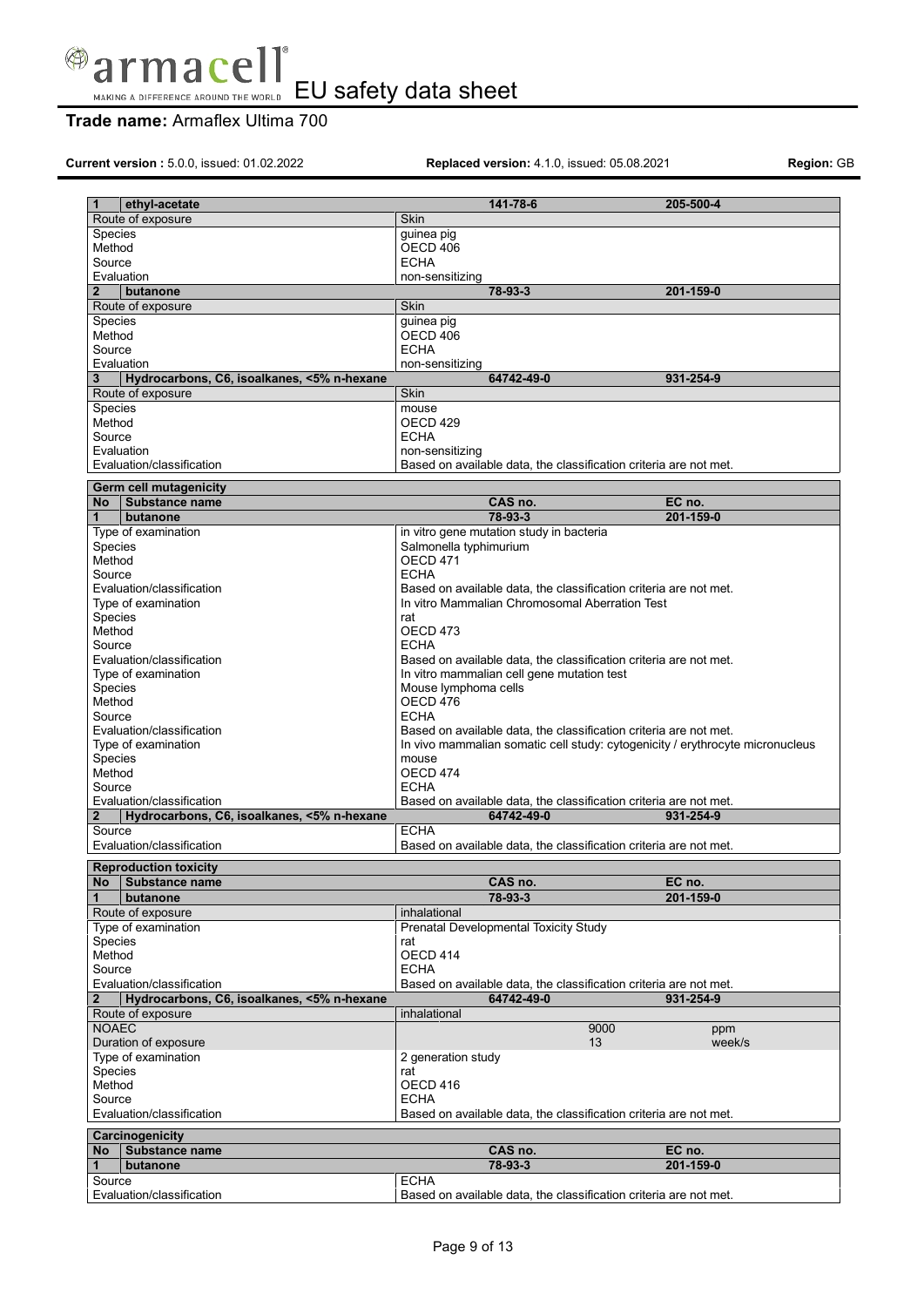

# **Trade name:** Armaflex Ultima 700

**Current version :** 5.0.0, issued: 01.02.2022 **Replaced version:** 4.1.0, issued: 05.08.2021 **Region:** GB

| 1                        | ethyl-acetate                                    | 141-78-6                                                                                                                                           | 205-500-4 |  |  |  |
|--------------------------|--------------------------------------------------|----------------------------------------------------------------------------------------------------------------------------------------------------|-----------|--|--|--|
|                          | Route of exposure                                | <b>Skin</b>                                                                                                                                        |           |  |  |  |
| <b>Species</b><br>Method |                                                  | guinea pig<br>OECD 406                                                                                                                             |           |  |  |  |
| Source                   |                                                  | <b>ECHA</b>                                                                                                                                        |           |  |  |  |
|                          | Evaluation                                       | non-sensitizing                                                                                                                                    |           |  |  |  |
| $\overline{2}$           | butanone                                         | 78-93-3                                                                                                                                            | 201-159-0 |  |  |  |
|                          | Route of exposure                                | Skin                                                                                                                                               |           |  |  |  |
| <b>Species</b>           |                                                  | guinea pig                                                                                                                                         |           |  |  |  |
| Method                   |                                                  | OECD 406                                                                                                                                           |           |  |  |  |
| Source                   | Evaluation                                       | <b>ECHA</b><br>non-sensitizing                                                                                                                     |           |  |  |  |
| 3                        | Hydrocarbons, C6, isoalkanes, <5% n-hexane       | 64742-49-0                                                                                                                                         | 931-254-9 |  |  |  |
|                          | Route of exposure                                | Skin                                                                                                                                               |           |  |  |  |
| <b>Species</b>           |                                                  | mouse                                                                                                                                              |           |  |  |  |
| Method                   |                                                  | OECD 429                                                                                                                                           |           |  |  |  |
| Source                   |                                                  | <b>ECHA</b>                                                                                                                                        |           |  |  |  |
|                          | Evaluation                                       | non-sensitizing                                                                                                                                    |           |  |  |  |
|                          | Evaluation/classification                        | Based on available data, the classification criteria are not met.                                                                                  |           |  |  |  |
|                          | Germ cell mutagenicity                           |                                                                                                                                                    |           |  |  |  |
| <b>No</b>                | Substance name                                   | CAS no.                                                                                                                                            | EC no.    |  |  |  |
| $\mathbf{1}$             | butanone                                         | 78-93-3                                                                                                                                            | 201-159-0 |  |  |  |
| <b>Species</b>           | Type of examination                              | in vitro gene mutation study in bacteria<br>Salmonella typhimurium                                                                                 |           |  |  |  |
| Method                   |                                                  | OECD 471                                                                                                                                           |           |  |  |  |
| Source                   |                                                  | <b>ECHA</b>                                                                                                                                        |           |  |  |  |
|                          | Evaluation/classification                        | Based on available data, the classification criteria are not met.                                                                                  |           |  |  |  |
|                          | Type of examination                              | In vitro Mammalian Chromosomal Aberration Test                                                                                                     |           |  |  |  |
| Species                  |                                                  | rat                                                                                                                                                |           |  |  |  |
| Method<br>Source         |                                                  | OECD <sub>473</sub><br><b>ECHA</b>                                                                                                                 |           |  |  |  |
|                          | Evaluation/classification                        | Based on available data, the classification criteria are not met.                                                                                  |           |  |  |  |
|                          | Type of examination                              | In vitro mammalian cell gene mutation test                                                                                                         |           |  |  |  |
| Species                  |                                                  | Mouse lymphoma cells                                                                                                                               |           |  |  |  |
| Method                   |                                                  | OECD 476                                                                                                                                           |           |  |  |  |
| Source                   |                                                  | <b>ECHA</b>                                                                                                                                        |           |  |  |  |
|                          | Evaluation/classification<br>Type of examination | Based on available data, the classification criteria are not met.<br>In vivo mammalian somatic cell study: cytogenicity / erythrocyte micronucleus |           |  |  |  |
| Species                  |                                                  | mouse                                                                                                                                              |           |  |  |  |
| Method                   |                                                  | OECD 474                                                                                                                                           |           |  |  |  |
| Source                   |                                                  | <b>ECHA</b>                                                                                                                                        |           |  |  |  |
|                          | Evaluation/classification                        | Based on available data, the classification criteria are not met.                                                                                  |           |  |  |  |
| $\mathbf 2$              |                                                  | 64742-49-0                                                                                                                                         | 931-254-9 |  |  |  |
|                          | Hydrocarbons, C6, isoalkanes, <5% n-hexane       |                                                                                                                                                    |           |  |  |  |
| Source                   |                                                  | <b>ECHA</b>                                                                                                                                        |           |  |  |  |
|                          | Evaluation/classification                        | Based on available data, the classification criteria are not met.                                                                                  |           |  |  |  |
|                          | <b>Reproduction toxicity</b>                     |                                                                                                                                                    |           |  |  |  |
| <b>No</b>                | Substance name                                   | CAS no.                                                                                                                                            | EC no.    |  |  |  |
| $\mathbf{1}$             | butanone                                         | 78-93-3                                                                                                                                            | 201-159-0 |  |  |  |
|                          | Route of exposure                                | inhalational                                                                                                                                       |           |  |  |  |
| Species                  | Type of examination                              | Prenatal Developmental Toxicity Study<br>rat                                                                                                       |           |  |  |  |
| Method                   |                                                  | OECD 414                                                                                                                                           |           |  |  |  |
| Source                   |                                                  | <b>ECHA</b>                                                                                                                                        |           |  |  |  |
|                          | Evaluation/classification                        | Based on available data, the classification criteria are not met.                                                                                  |           |  |  |  |
| $\mathbf{2}$             | Hydrocarbons, C6, isoalkanes, <5% n-hexane       | 64742-49-0                                                                                                                                         | 931-254-9 |  |  |  |
| <b>NOAEC</b>             | Route of exposure                                | inhalational<br>9000                                                                                                                               | ppm       |  |  |  |
|                          | Duration of exposure                             | 13                                                                                                                                                 | week/s    |  |  |  |
|                          | Type of examination                              | 2 generation study                                                                                                                                 |           |  |  |  |
| Species                  |                                                  | rat                                                                                                                                                |           |  |  |  |
| Method                   |                                                  | OECD 416                                                                                                                                           |           |  |  |  |
| Source                   |                                                  | <b>ECHA</b>                                                                                                                                        |           |  |  |  |
|                          | Evaluation/classification                        | Based on available data, the classification criteria are not met.                                                                                  |           |  |  |  |
|                          | Carcinogenicity                                  |                                                                                                                                                    |           |  |  |  |
| No                       | Substance name                                   | CAS no.                                                                                                                                            | EC no.    |  |  |  |
| 1                        | butanone                                         | 78-93-3                                                                                                                                            | 201-159-0 |  |  |  |
| Source                   | Evaluation/classification                        | <b>ECHA</b><br>Based on available data, the classification criteria are not met.                                                                   |           |  |  |  |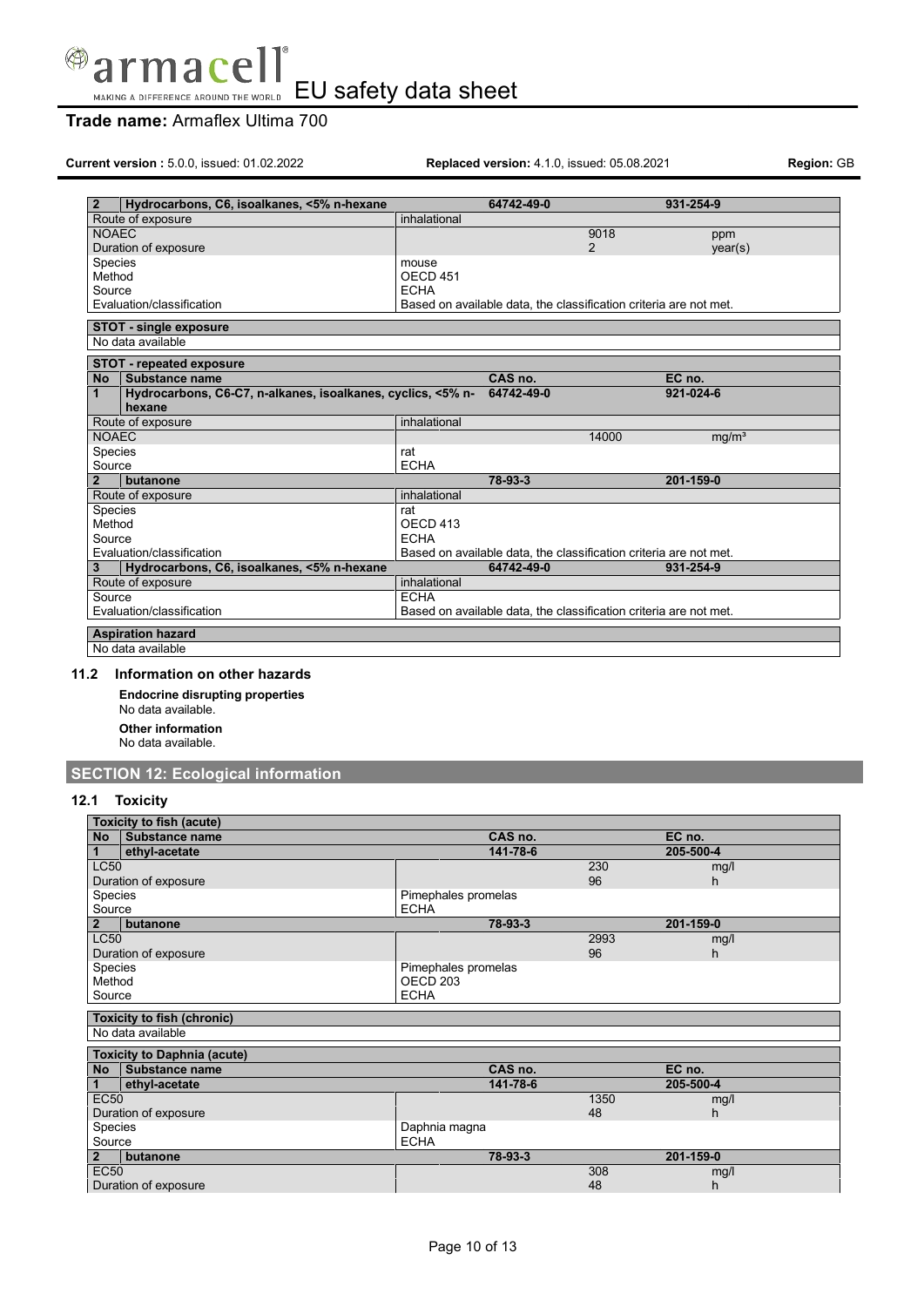

# **Trade name:** Armaflex Ultima 700

**Current version :** 5.0.0, issued: 01.02.2022 **Replaced version:** 4.1.0, issued: 05.08.2021 **Region:** GB

| Hydrocarbons, C6, isoalkanes, <5% n-hexane<br>$\mathbf{2}$                  |                     | 64742-49-0                                                        |       | 931-254-9         |  |  |
|-----------------------------------------------------------------------------|---------------------|-------------------------------------------------------------------|-------|-------------------|--|--|
| Route of exposure                                                           | inhalational        |                                                                   |       |                   |  |  |
| <b>NOAEC</b>                                                                |                     |                                                                   | 9018  | ppm               |  |  |
| Duration of exposure                                                        |                     |                                                                   | 2     | year(s)           |  |  |
| <b>Species</b>                                                              | mouse               |                                                                   |       |                   |  |  |
| Method                                                                      | OECD <sub>451</sub> |                                                                   |       |                   |  |  |
| Source                                                                      | <b>ECHA</b>         |                                                                   |       |                   |  |  |
| Evaluation/classification                                                   |                     | Based on available data, the classification criteria are not met. |       |                   |  |  |
| <b>STOT - single exposure</b>                                               |                     |                                                                   |       |                   |  |  |
| No data available                                                           |                     |                                                                   |       |                   |  |  |
| <b>STOT - repeated exposure</b>                                             |                     |                                                                   |       |                   |  |  |
| Substance name<br><b>No</b>                                                 |                     | CAS no.                                                           |       | EC no.            |  |  |
| $\mathbf{1}$<br>Hydrocarbons, C6-C7, n-alkanes, isoalkanes, cyclics, <5% n- |                     | 64742-49-0                                                        |       | 921-024-6         |  |  |
| hexane                                                                      |                     |                                                                   |       |                   |  |  |
| Route of exposure                                                           | inhalational        |                                                                   |       |                   |  |  |
| <b>NOAEC</b>                                                                |                     |                                                                   | 14000 | mq/m <sup>3</sup> |  |  |
| Species                                                                     | rat                 |                                                                   |       |                   |  |  |
| Source                                                                      | <b>ECHA</b>         |                                                                   |       |                   |  |  |
| $\mathbf{2}$<br>butanone                                                    |                     | 78-93-3                                                           |       | 201-159-0         |  |  |
| Route of exposure                                                           | inhalational        |                                                                   |       |                   |  |  |
| Species                                                                     | rat                 |                                                                   |       |                   |  |  |
| Method                                                                      | OECD 413            |                                                                   |       |                   |  |  |
| Source                                                                      | <b>ECHA</b>         |                                                                   |       |                   |  |  |
| Evaluation/classification                                                   |                     | Based on available data, the classification criteria are not met. |       |                   |  |  |
| Hydrocarbons, C6, isoalkanes, <5% n-hexane<br>3                             |                     | 64742-49-0                                                        |       | 931-254-9         |  |  |
| Route of exposure                                                           | inhalational        |                                                                   |       |                   |  |  |
| <b>ECHA</b><br>Source                                                       |                     |                                                                   |       |                   |  |  |
| Evaluation/classification                                                   |                     | Based on available data, the classification criteria are not met. |       |                   |  |  |
| <b>Aspiration hazard</b>                                                    |                     |                                                                   |       |                   |  |  |
| No data available                                                           |                     |                                                                   |       |                   |  |  |

### **11.2 Information on other hazards**

**Endocrine disrupting properties**

No data available. **Other information**

No data available.

# **SECTION 12: Ecological information**

### **12.1 Toxicity**

| Toxicity to fish (acute) |                                                      |                     |      |            |
|--------------------------|------------------------------------------------------|---------------------|------|------------|
| <b>No</b>                | <b>Substance name</b>                                | CAS no.             |      | EC no.     |
|                          | ethyl-acetate                                        | 141-78-6            |      | 205-500-4  |
| <b>LC50</b>              |                                                      |                     | 230  | mg/l       |
| Duration of exposure     |                                                      |                     | 96   | h.         |
| Species                  |                                                      | Pimephales promelas |      |            |
| Source                   |                                                      | <b>ECHA</b>         |      |            |
| $\overline{2}$           | butanone                                             | 78-93-3             |      | 201-159-0  |
| <b>LC50</b>              |                                                      |                     | 2993 | mg/l       |
| Duration of exposure     |                                                      |                     | 96   | h.         |
| Species                  |                                                      | Pimephales promelas |      |            |
| Method                   |                                                      | OECD <sub>203</sub> |      |            |
| Source                   |                                                      | <b>ECHA</b>         |      |            |
|                          |                                                      |                     |      |            |
|                          | <b>Toxicity to fish (chronic)</b>                    |                     |      |            |
|                          | No data available                                    |                     |      |            |
|                          |                                                      |                     |      |            |
|                          | <b>Toxicity to Daphnia (acute)</b><br>Substance name | CAS no.             |      | EC no.     |
| <b>No</b>                | ethyl-acetate                                        | 141-78-6            |      | 205-500-4  |
| <b>EC50</b>              |                                                      |                     | 1350 |            |
|                          |                                                      |                     | 48   | mg/l<br>h. |
| Species                  | Duration of exposure                                 | Daphnia magna       |      |            |
| Source                   |                                                      | <b>ECHA</b>         |      |            |
| $\mathbf{2}$             | butanone                                             | 78-93-3             |      | 201-159-0  |
| <b>EC50</b>              |                                                      |                     | 308  | mg/l       |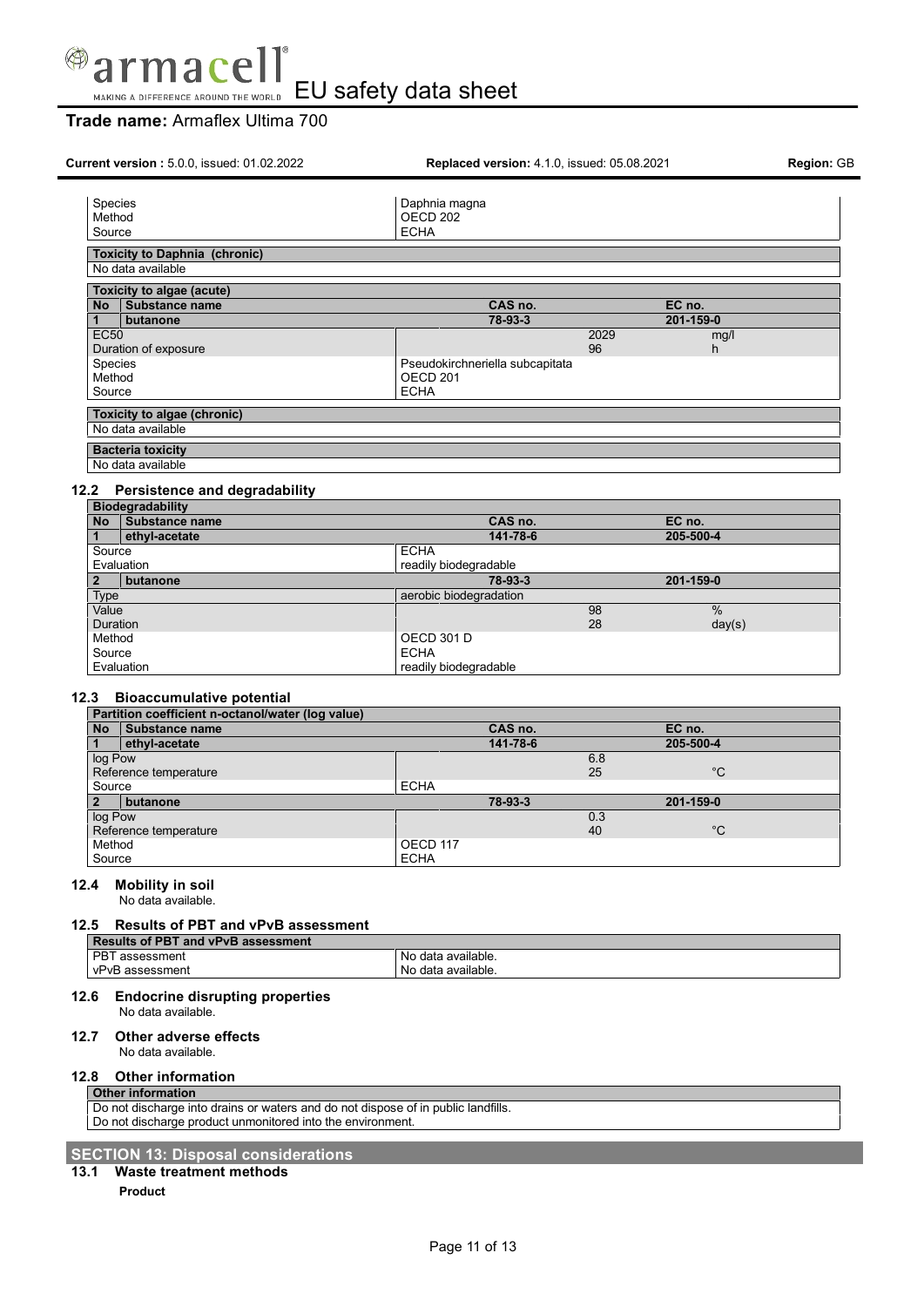

# **Trade name:** Armaflex Ultima 700

| Species<br>Daphnia magna<br>OECD <sub>202</sub><br>Method<br><b>ECHA</b><br>Source<br><b>Toxicity to Daphnia (chronic)</b><br>No data available<br><b>Toxicity to algae (acute)</b><br>CAS no.<br>EC no.<br>No Substance name<br>78-93-3<br>201-159-0<br>1<br>butanone<br><b>EC50</b><br>2029<br>mg/l<br>Duration of exposure<br>96<br>h.<br>Species<br>Pseudokirchneriella subcapitata<br>Method<br>OECD <sub>201</sub><br><b>ECHA</b><br>Source<br>Toxicity to algae (chronic)<br>No data available<br><b>Bacteria toxicity</b><br>No data available<br>Persistence and degradability<br><b>Biodegradability</b><br>No Substance name<br>CAS no.<br>EC no.<br>ethyl-acetate<br>141-78-6<br>205-500-4<br>1<br><b>ECHA</b><br>Source<br>readily biodegradable<br>Evaluation<br>78-93-3<br>201-159-0<br>$\mathbf{2}$<br>butanone<br>aerobic biodegradation<br><b>Type</b><br>$\%$<br>Value<br>98<br><b>Duration</b><br>28<br>day(s)<br><b>OECD 301 D</b><br>Method<br><b>ECHA</b><br>Source<br>readily biodegradable<br>Evaluation<br><b>Bioaccumulative potential</b><br>Partition coefficient n-octanol/water (log value)<br>Substance name<br>CAS no.<br>EC no.<br><b>No</b><br>ethyl-acetate<br>141-78-6<br>205-500-4<br>$\mathbf{1}$<br>6.8<br>log Pow<br>Reference temperature<br>$^{\circ}C$<br>25<br>Source<br><b>ECHA</b><br>$\overline{2}$<br>butanone<br>78-93-3<br>201-159-0<br>0.3<br>log Pow<br>$^{\circ}C$<br>Reference temperature<br>40<br>OECD 117<br>Method<br>Source<br><b>ECHA</b><br><b>Mobility in soil</b><br>No data available.<br>Results of PBT and vPvB assessment<br><b>Results of PBT and vPvB assessment</b><br>PBT assessment<br>No data available.<br>vPvB assessment<br>No data available.<br><b>Endocrine disrupting properties</b><br>No data available.<br><b>Other adverse effects</b><br>No data available.<br><b>Other information</b><br><b>Other information</b><br>Do not discharge into drains or waters and do not dispose of in public landfills.<br>Do not discharge product unmonitored into the environment.<br><b>Waste treatment methods</b><br>13.1 | Current version: 5.0.0, issued: 01.02.2022 | Replaced version: 4.1.0, issued: 05.08.2021 | Region: GB |
|--------------------------------------------------------------------------------------------------------------------------------------------------------------------------------------------------------------------------------------------------------------------------------------------------------------------------------------------------------------------------------------------------------------------------------------------------------------------------------------------------------------------------------------------------------------------------------------------------------------------------------------------------------------------------------------------------------------------------------------------------------------------------------------------------------------------------------------------------------------------------------------------------------------------------------------------------------------------------------------------------------------------------------------------------------------------------------------------------------------------------------------------------------------------------------------------------------------------------------------------------------------------------------------------------------------------------------------------------------------------------------------------------------------------------------------------------------------------------------------------------------------------------------------------------------------------------------------------------------------------------------------------------------------------------------------------------------------------------------------------------------------------------------------------------------------------------------------------------------------------------------------------------------------------------------------------------------------------------------------------------------------------------------------------------------------------------------------------------------|--------------------------------------------|---------------------------------------------|------------|
|                                                                                                                                                                                                                                                                                                                                                                                                                                                                                                                                                                                                                                                                                                                                                                                                                                                                                                                                                                                                                                                                                                                                                                                                                                                                                                                                                                                                                                                                                                                                                                                                                                                                                                                                                                                                                                                                                                                                                                                                                                                                                                        |                                            |                                             |            |
|                                                                                                                                                                                                                                                                                                                                                                                                                                                                                                                                                                                                                                                                                                                                                                                                                                                                                                                                                                                                                                                                                                                                                                                                                                                                                                                                                                                                                                                                                                                                                                                                                                                                                                                                                                                                                                                                                                                                                                                                                                                                                                        |                                            |                                             |            |
|                                                                                                                                                                                                                                                                                                                                                                                                                                                                                                                                                                                                                                                                                                                                                                                                                                                                                                                                                                                                                                                                                                                                                                                                                                                                                                                                                                                                                                                                                                                                                                                                                                                                                                                                                                                                                                                                                                                                                                                                                                                                                                        |                                            |                                             |            |
|                                                                                                                                                                                                                                                                                                                                                                                                                                                                                                                                                                                                                                                                                                                                                                                                                                                                                                                                                                                                                                                                                                                                                                                                                                                                                                                                                                                                                                                                                                                                                                                                                                                                                                                                                                                                                                                                                                                                                                                                                                                                                                        |                                            |                                             |            |
|                                                                                                                                                                                                                                                                                                                                                                                                                                                                                                                                                                                                                                                                                                                                                                                                                                                                                                                                                                                                                                                                                                                                                                                                                                                                                                                                                                                                                                                                                                                                                                                                                                                                                                                                                                                                                                                                                                                                                                                                                                                                                                        |                                            |                                             |            |
|                                                                                                                                                                                                                                                                                                                                                                                                                                                                                                                                                                                                                                                                                                                                                                                                                                                                                                                                                                                                                                                                                                                                                                                                                                                                                                                                                                                                                                                                                                                                                                                                                                                                                                                                                                                                                                                                                                                                                                                                                                                                                                        |                                            |                                             |            |
|                                                                                                                                                                                                                                                                                                                                                                                                                                                                                                                                                                                                                                                                                                                                                                                                                                                                                                                                                                                                                                                                                                                                                                                                                                                                                                                                                                                                                                                                                                                                                                                                                                                                                                                                                                                                                                                                                                                                                                                                                                                                                                        |                                            |                                             |            |
|                                                                                                                                                                                                                                                                                                                                                                                                                                                                                                                                                                                                                                                                                                                                                                                                                                                                                                                                                                                                                                                                                                                                                                                                                                                                                                                                                                                                                                                                                                                                                                                                                                                                                                                                                                                                                                                                                                                                                                                                                                                                                                        |                                            |                                             |            |
|                                                                                                                                                                                                                                                                                                                                                                                                                                                                                                                                                                                                                                                                                                                                                                                                                                                                                                                                                                                                                                                                                                                                                                                                                                                                                                                                                                                                                                                                                                                                                                                                                                                                                                                                                                                                                                                                                                                                                                                                                                                                                                        |                                            |                                             |            |
|                                                                                                                                                                                                                                                                                                                                                                                                                                                                                                                                                                                                                                                                                                                                                                                                                                                                                                                                                                                                                                                                                                                                                                                                                                                                                                                                                                                                                                                                                                                                                                                                                                                                                                                                                                                                                                                                                                                                                                                                                                                                                                        |                                            |                                             |            |
|                                                                                                                                                                                                                                                                                                                                                                                                                                                                                                                                                                                                                                                                                                                                                                                                                                                                                                                                                                                                                                                                                                                                                                                                                                                                                                                                                                                                                                                                                                                                                                                                                                                                                                                                                                                                                                                                                                                                                                                                                                                                                                        |                                            |                                             |            |
|                                                                                                                                                                                                                                                                                                                                                                                                                                                                                                                                                                                                                                                                                                                                                                                                                                                                                                                                                                                                                                                                                                                                                                                                                                                                                                                                                                                                                                                                                                                                                                                                                                                                                                                                                                                                                                                                                                                                                                                                                                                                                                        |                                            |                                             |            |
|                                                                                                                                                                                                                                                                                                                                                                                                                                                                                                                                                                                                                                                                                                                                                                                                                                                                                                                                                                                                                                                                                                                                                                                                                                                                                                                                                                                                                                                                                                                                                                                                                                                                                                                                                                                                                                                                                                                                                                                                                                                                                                        | 12.2                                       |                                             |            |
|                                                                                                                                                                                                                                                                                                                                                                                                                                                                                                                                                                                                                                                                                                                                                                                                                                                                                                                                                                                                                                                                                                                                                                                                                                                                                                                                                                                                                                                                                                                                                                                                                                                                                                                                                                                                                                                                                                                                                                                                                                                                                                        |                                            |                                             |            |
|                                                                                                                                                                                                                                                                                                                                                                                                                                                                                                                                                                                                                                                                                                                                                                                                                                                                                                                                                                                                                                                                                                                                                                                                                                                                                                                                                                                                                                                                                                                                                                                                                                                                                                                                                                                                                                                                                                                                                                                                                                                                                                        |                                            |                                             |            |
|                                                                                                                                                                                                                                                                                                                                                                                                                                                                                                                                                                                                                                                                                                                                                                                                                                                                                                                                                                                                                                                                                                                                                                                                                                                                                                                                                                                                                                                                                                                                                                                                                                                                                                                                                                                                                                                                                                                                                                                                                                                                                                        |                                            |                                             |            |
|                                                                                                                                                                                                                                                                                                                                                                                                                                                                                                                                                                                                                                                                                                                                                                                                                                                                                                                                                                                                                                                                                                                                                                                                                                                                                                                                                                                                                                                                                                                                                                                                                                                                                                                                                                                                                                                                                                                                                                                                                                                                                                        |                                            |                                             |            |
|                                                                                                                                                                                                                                                                                                                                                                                                                                                                                                                                                                                                                                                                                                                                                                                                                                                                                                                                                                                                                                                                                                                                                                                                                                                                                                                                                                                                                                                                                                                                                                                                                                                                                                                                                                                                                                                                                                                                                                                                                                                                                                        |                                            |                                             |            |
|                                                                                                                                                                                                                                                                                                                                                                                                                                                                                                                                                                                                                                                                                                                                                                                                                                                                                                                                                                                                                                                                                                                                                                                                                                                                                                                                                                                                                                                                                                                                                                                                                                                                                                                                                                                                                                                                                                                                                                                                                                                                                                        |                                            |                                             |            |
|                                                                                                                                                                                                                                                                                                                                                                                                                                                                                                                                                                                                                                                                                                                                                                                                                                                                                                                                                                                                                                                                                                                                                                                                                                                                                                                                                                                                                                                                                                                                                                                                                                                                                                                                                                                                                                                                                                                                                                                                                                                                                                        |                                            |                                             |            |
|                                                                                                                                                                                                                                                                                                                                                                                                                                                                                                                                                                                                                                                                                                                                                                                                                                                                                                                                                                                                                                                                                                                                                                                                                                                                                                                                                                                                                                                                                                                                                                                                                                                                                                                                                                                                                                                                                                                                                                                                                                                                                                        |                                            |                                             |            |
|                                                                                                                                                                                                                                                                                                                                                                                                                                                                                                                                                                                                                                                                                                                                                                                                                                                                                                                                                                                                                                                                                                                                                                                                                                                                                                                                                                                                                                                                                                                                                                                                                                                                                                                                                                                                                                                                                                                                                                                                                                                                                                        |                                            |                                             |            |
|                                                                                                                                                                                                                                                                                                                                                                                                                                                                                                                                                                                                                                                                                                                                                                                                                                                                                                                                                                                                                                                                                                                                                                                                                                                                                                                                                                                                                                                                                                                                                                                                                                                                                                                                                                                                                                                                                                                                                                                                                                                                                                        | 12.3                                       |                                             |            |
|                                                                                                                                                                                                                                                                                                                                                                                                                                                                                                                                                                                                                                                                                                                                                                                                                                                                                                                                                                                                                                                                                                                                                                                                                                                                                                                                                                                                                                                                                                                                                                                                                                                                                                                                                                                                                                                                                                                                                                                                                                                                                                        |                                            |                                             |            |
|                                                                                                                                                                                                                                                                                                                                                                                                                                                                                                                                                                                                                                                                                                                                                                                                                                                                                                                                                                                                                                                                                                                                                                                                                                                                                                                                                                                                                                                                                                                                                                                                                                                                                                                                                                                                                                                                                                                                                                                                                                                                                                        |                                            |                                             |            |
|                                                                                                                                                                                                                                                                                                                                                                                                                                                                                                                                                                                                                                                                                                                                                                                                                                                                                                                                                                                                                                                                                                                                                                                                                                                                                                                                                                                                                                                                                                                                                                                                                                                                                                                                                                                                                                                                                                                                                                                                                                                                                                        |                                            |                                             |            |
|                                                                                                                                                                                                                                                                                                                                                                                                                                                                                                                                                                                                                                                                                                                                                                                                                                                                                                                                                                                                                                                                                                                                                                                                                                                                                                                                                                                                                                                                                                                                                                                                                                                                                                                                                                                                                                                                                                                                                                                                                                                                                                        |                                            |                                             |            |
|                                                                                                                                                                                                                                                                                                                                                                                                                                                                                                                                                                                                                                                                                                                                                                                                                                                                                                                                                                                                                                                                                                                                                                                                                                                                                                                                                                                                                                                                                                                                                                                                                                                                                                                                                                                                                                                                                                                                                                                                                                                                                                        |                                            |                                             |            |
|                                                                                                                                                                                                                                                                                                                                                                                                                                                                                                                                                                                                                                                                                                                                                                                                                                                                                                                                                                                                                                                                                                                                                                                                                                                                                                                                                                                                                                                                                                                                                                                                                                                                                                                                                                                                                                                                                                                                                                                                                                                                                                        |                                            |                                             |            |
|                                                                                                                                                                                                                                                                                                                                                                                                                                                                                                                                                                                                                                                                                                                                                                                                                                                                                                                                                                                                                                                                                                                                                                                                                                                                                                                                                                                                                                                                                                                                                                                                                                                                                                                                                                                                                                                                                                                                                                                                                                                                                                        |                                            |                                             |            |
|                                                                                                                                                                                                                                                                                                                                                                                                                                                                                                                                                                                                                                                                                                                                                                                                                                                                                                                                                                                                                                                                                                                                                                                                                                                                                                                                                                                                                                                                                                                                                                                                                                                                                                                                                                                                                                                                                                                                                                                                                                                                                                        |                                            |                                             |            |
|                                                                                                                                                                                                                                                                                                                                                                                                                                                                                                                                                                                                                                                                                                                                                                                                                                                                                                                                                                                                                                                                                                                                                                                                                                                                                                                                                                                                                                                                                                                                                                                                                                                                                                                                                                                                                                                                                                                                                                                                                                                                                                        | 12.4                                       |                                             |            |
|                                                                                                                                                                                                                                                                                                                                                                                                                                                                                                                                                                                                                                                                                                                                                                                                                                                                                                                                                                                                                                                                                                                                                                                                                                                                                                                                                                                                                                                                                                                                                                                                                                                                                                                                                                                                                                                                                                                                                                                                                                                                                                        |                                            |                                             |            |
|                                                                                                                                                                                                                                                                                                                                                                                                                                                                                                                                                                                                                                                                                                                                                                                                                                                                                                                                                                                                                                                                                                                                                                                                                                                                                                                                                                                                                                                                                                                                                                                                                                                                                                                                                                                                                                                                                                                                                                                                                                                                                                        | 12.5                                       |                                             |            |
|                                                                                                                                                                                                                                                                                                                                                                                                                                                                                                                                                                                                                                                                                                                                                                                                                                                                                                                                                                                                                                                                                                                                                                                                                                                                                                                                                                                                                                                                                                                                                                                                                                                                                                                                                                                                                                                                                                                                                                                                                                                                                                        |                                            |                                             |            |
|                                                                                                                                                                                                                                                                                                                                                                                                                                                                                                                                                                                                                                                                                                                                                                                                                                                                                                                                                                                                                                                                                                                                                                                                                                                                                                                                                                                                                                                                                                                                                                                                                                                                                                                                                                                                                                                                                                                                                                                                                                                                                                        |                                            |                                             |            |
|                                                                                                                                                                                                                                                                                                                                                                                                                                                                                                                                                                                                                                                                                                                                                                                                                                                                                                                                                                                                                                                                                                                                                                                                                                                                                                                                                                                                                                                                                                                                                                                                                                                                                                                                                                                                                                                                                                                                                                                                                                                                                                        | 12.6                                       |                                             |            |
|                                                                                                                                                                                                                                                                                                                                                                                                                                                                                                                                                                                                                                                                                                                                                                                                                                                                                                                                                                                                                                                                                                                                                                                                                                                                                                                                                                                                                                                                                                                                                                                                                                                                                                                                                                                                                                                                                                                                                                                                                                                                                                        | 12.7                                       |                                             |            |
|                                                                                                                                                                                                                                                                                                                                                                                                                                                                                                                                                                                                                                                                                                                                                                                                                                                                                                                                                                                                                                                                                                                                                                                                                                                                                                                                                                                                                                                                                                                                                                                                                                                                                                                                                                                                                                                                                                                                                                                                                                                                                                        | 12.8                                       |                                             |            |
|                                                                                                                                                                                                                                                                                                                                                                                                                                                                                                                                                                                                                                                                                                                                                                                                                                                                                                                                                                                                                                                                                                                                                                                                                                                                                                                                                                                                                                                                                                                                                                                                                                                                                                                                                                                                                                                                                                                                                                                                                                                                                                        |                                            |                                             |            |
|                                                                                                                                                                                                                                                                                                                                                                                                                                                                                                                                                                                                                                                                                                                                                                                                                                                                                                                                                                                                                                                                                                                                                                                                                                                                                                                                                                                                                                                                                                                                                                                                                                                                                                                                                                                                                                                                                                                                                                                                                                                                                                        |                                            |                                             |            |
|                                                                                                                                                                                                                                                                                                                                                                                                                                                                                                                                                                                                                                                                                                                                                                                                                                                                                                                                                                                                                                                                                                                                                                                                                                                                                                                                                                                                                                                                                                                                                                                                                                                                                                                                                                                                                                                                                                                                                                                                                                                                                                        |                                            |                                             |            |
|                                                                                                                                                                                                                                                                                                                                                                                                                                                                                                                                                                                                                                                                                                                                                                                                                                                                                                                                                                                                                                                                                                                                                                                                                                                                                                                                                                                                                                                                                                                                                                                                                                                                                                                                                                                                                                                                                                                                                                                                                                                                                                        | <b>SECTION 13: Disposal considerations</b> |                                             |            |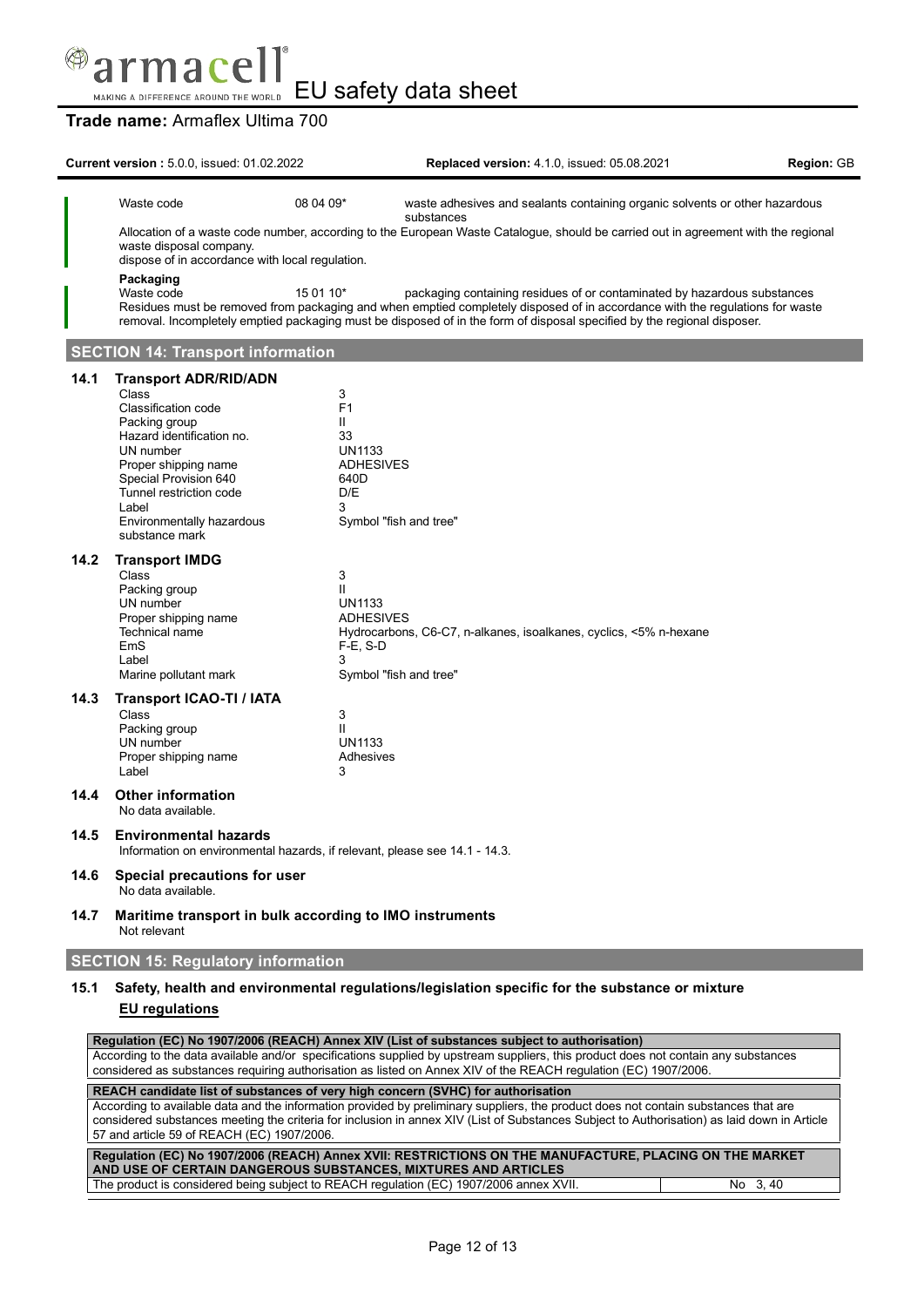

# **Trade name:** Armaflex Ultima 700

|      | <b>Current version: 5.0.0, issued: 01.02.2022</b>                                                                                                                                                                                                           |                                                                                         | <b>Replaced version: 4.1.0, issued: 05.08.2021</b>                                                                                                                                                                                                                                                                                  | Region: GB |
|------|-------------------------------------------------------------------------------------------------------------------------------------------------------------------------------------------------------------------------------------------------------------|-----------------------------------------------------------------------------------------|-------------------------------------------------------------------------------------------------------------------------------------------------------------------------------------------------------------------------------------------------------------------------------------------------------------------------------------|------------|
|      | Waste code                                                                                                                                                                                                                                                  | 08 04 09*                                                                               | waste adhesives and sealants containing organic solvents or other hazardous<br>substances                                                                                                                                                                                                                                           |            |
|      | waste disposal company.<br>dispose of in accordance with local regulation.                                                                                                                                                                                  |                                                                                         | Allocation of a waste code number, according to the European Waste Catalogue, should be carried out in agreement with the regional                                                                                                                                                                                                  |            |
|      | Packaging<br>Waste code                                                                                                                                                                                                                                     | 15 01 10*                                                                               | packaging containing residues of or contaminated by hazardous substances<br>Residues must be removed from packaging and when emptied completely disposed of in accordance with the regulations for waste<br>removal. Incompletely emptied packaging must be disposed of in the form of disposal specified by the regional disposer. |            |
|      | <b>SECTION 14: Transport information</b>                                                                                                                                                                                                                    |                                                                                         |                                                                                                                                                                                                                                                                                                                                     |            |
| 14.1 | <b>Transport ADR/RID/ADN</b><br>Class<br>Classification code<br>Packing group<br>Hazard identification no.<br>UN number<br>Proper shipping name<br>Special Provision 640<br>Tunnel restriction code<br>Label<br>Environmentally hazardous<br>substance mark | 3<br>F <sub>1</sub><br>Ш<br>33<br><b>UN1133</b><br><b>ADHESIVES</b><br>640D<br>D/E<br>3 | Symbol "fish and tree"                                                                                                                                                                                                                                                                                                              |            |
| 14.2 | <b>Transport IMDG</b><br>Class<br>Packing group<br>UN number<br>Proper shipping name<br>Technical name<br><b>EmS</b><br>Label<br>Marine pollutant mark                                                                                                      | 3<br>Ш<br><b>UN1133</b><br><b>ADHESIVES</b><br>F-E, S-D<br>3                            | Hydrocarbons, C6-C7, n-alkanes, isoalkanes, cyclics, <5% n-hexane<br>Symbol "fish and tree"                                                                                                                                                                                                                                         |            |
| 14.3 | Transport ICAO-TI / IATA<br>Class<br>Packing group<br>UN number<br>Proper shipping name<br>Label                                                                                                                                                            | 3<br>Ш<br><b>UN1133</b><br>Adhesives<br>3                                               |                                                                                                                                                                                                                                                                                                                                     |            |
| 14.4 | <b>Other information</b><br>No data available.                                                                                                                                                                                                              |                                                                                         |                                                                                                                                                                                                                                                                                                                                     |            |
| 14.5 | <b>Environmental hazards</b><br>Information on environmental hazards, if relevant, please see 14.1 - 14.3.                                                                                                                                                  |                                                                                         |                                                                                                                                                                                                                                                                                                                                     |            |
| 14.6 | Special precautions for user<br>No data available.                                                                                                                                                                                                          |                                                                                         |                                                                                                                                                                                                                                                                                                                                     |            |
| 14.7 | Maritime transport in bulk according to IMO instruments<br>Not relevant                                                                                                                                                                                     |                                                                                         |                                                                                                                                                                                                                                                                                                                                     |            |
|      | <b>SECTION 15: Regulatory information</b>                                                                                                                                                                                                                   |                                                                                         |                                                                                                                                                                                                                                                                                                                                     |            |
| 15.1 | <b>EU</b> regulations                                                                                                                                                                                                                                       |                                                                                         | Safety, health and environmental regulations/legislation specific for the substance or mixture                                                                                                                                                                                                                                      |            |

| Regulation (EC) No 1907/2006 (REACH) Annex XIV (List of substances subject to authorisation)                                                |         |  |
|---------------------------------------------------------------------------------------------------------------------------------------------|---------|--|
| According to the data available and/or specifications supplied by upstream suppliers, this product does not contain any substances          |         |  |
| considered as substances requiring authorisation as listed on Annex XIV of the REACH requlation (EC) 1907/2006.                             |         |  |
|                                                                                                                                             |         |  |
| REACH candidate list of substances of very high concern (SVHC) for authorisation                                                            |         |  |
| According to available data and the information provided by preliminary suppliers, the product does not contain substances that are         |         |  |
| considered substances meeting the criteria for inclusion in annex XIV (List of Substances Subject to Authorisation) as laid down in Article |         |  |
| 57 and article 59 of REACH (EC) 1907/2006.                                                                                                  |         |  |
|                                                                                                                                             |         |  |
| Regulation (EC) No 1907/2006 (REACH) Annex XVII: RESTRICTIONS ON THE MANUFACTURE, PLACING ON THE MARKET                                     |         |  |
| AND USE OF CERTAIN DANGEROUS SUBSTANCES, MIXTURES AND ARTICLES                                                                              |         |  |
|                                                                                                                                             |         |  |
| The product is considered being subject to REACH regulation (EC) 1907/2006 annex XVII.                                                      | No 3.40 |  |